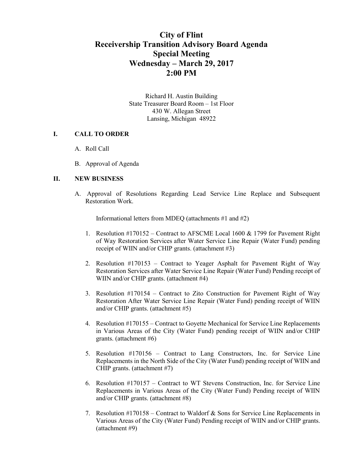# **City of Flint Receivership Transition Advisory Board Agenda Special Meeting Wednesday – March 29, 2017 2:00 PM**

Richard H. Austin Building State Treasurer Board Room – 1st Floor 430 W. Allegan Street Lansing, Michigan 48922

#### **I. CALL TO ORDER**

- A. Roll Call
- B. Approval of Agenda

#### **II. NEW BUSINESS**

A. Approval of Resolutions Regarding Lead Service Line Replace and Subsequent Restoration Work.

Informational letters from MDEQ (attachments #1 and #2)

- 1. Resolution #170152 Contract to AFSCME Local 1600 & 1799 for Pavement Right of Way Restoration Services after Water Service Line Repair (Water Fund) pending receipt of WIIN and/or CHIP grants. (attachment #3)
- 2. Resolution #170153 Contract to Yeager Asphalt for Pavement Right of Way Restoration Services after Water Service Line Repair (Water Fund) Pending receipt of WIIN and/or CHIP grants. (attachment #4)
- 3. Resolution #170154 Contract to Zito Construction for Pavement Right of Way Restoration After Water Service Line Repair (Water Fund) pending receipt of WIIN and/or CHIP grants. (attachment #5)
- 4. Resolution #170155 Contract to Goyette Mechanical for Service Line Replacements in Various Areas of the City (Water Fund) pending receipt of WIIN and/or CHIP grants. (attachment #6)
- 5. Resolution #170156 Contract to Lang Constructors, Inc. for Service Line Replacements in the North Side of the City (Water Fund) pending receipt of WIIN and CHIP grants. (attachment #7)
- 6. Resolution #170157 Contract to WT Stevens Construction, Inc. for Service Line Replacements in Various Areas of the City (Water Fund) Pending receipt of WIIN and/or CHIP grants. (attachment #8)
- 7. Resolution #170158 Contract to Waldorf & Sons for Service Line Replacements in Various Areas of the City (Water Fund) Pending receipt of WIIN and/or CHIP grants. (attachment #9)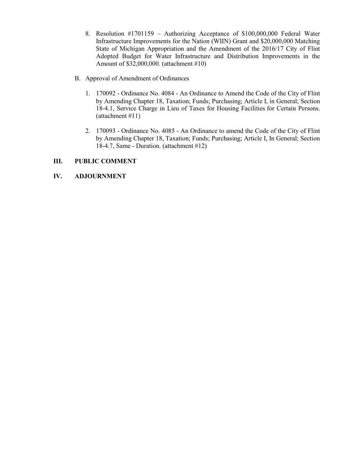- 8. Resolution #1701159 Authorizing Acceptance of \$100,000,000 Federal Water Infrastructure Improvements for the Nation (WIIN) Grant and \$20,000,000 Matching State of Michigan Appropriation and the Amendment of the 2016/17 City of Flint Adopted Budget for Water Infrastructure and Distribution Improvements in the Amount of \$32,000,000. (attachment #10)
- B. Approval of Amendment of Ordinances
	- 1. 170092 Ordinance No. 4084 An Ordinance to Amend the Code of the City of Flint by Amending Chapter 18, Taxation; Funds; Purchasing; Article I, in General; Section 18-4.1, Service Charge in Lieu of Taxes for Housing Facilities for Certain Persons. (attachment #11)
	- 2. 170093 Ordinance No. 4085 An Ordinance to amend the Code of the City of Flint by Amending Chapter 18, Taxation; Funds; Purchasing; Article I, In General; Section 18-4.7, Same - Duration. (attachment #12)

## **III. PUBLIC COMMENT**

## **IV. ADJOURNMENT**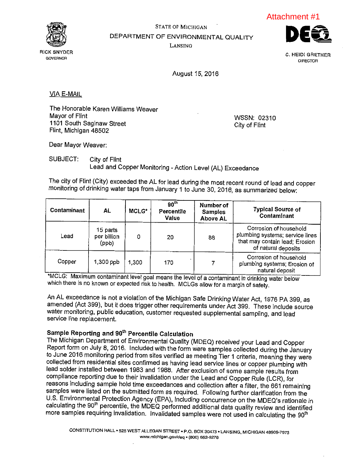

STATE OF MICHIGAN DEPARTMENT OF ENVIRONMENTAL QUALITY

LANSING



Attachment #1

C. HEIDI GRETHER DIRECTOR

August 15, 2016

VIA E-MAIL

The Honorable Karen Williams Weaver Mayor of Flint 1101 South Saginaw Street Flint, Michigan 48502

WSSN: 02310 City of Flint

Dear Mayor Weaver:

SUBJECT: City of Flint Lead and Copper Monitoring - Action Level (AL) Exceedance

The city of Flint (City) exceeded the AL for lead during the most recent round of lead and copper monitoring of drinking water taps from January 1 to June 30, 2016, as summarized below:

| Contaminant | AL                               | <b>MCLG*</b> | 90 <sup>th</sup><br>Percentile<br>Value | Number of<br><b>Samples</b><br><b>Above AL</b> | <b>Typical Source of</b><br>Contaminant                                                                            |  |  |  |  |  |
|-------------|----------------------------------|--------------|-----------------------------------------|------------------------------------------------|--------------------------------------------------------------------------------------------------------------------|--|--|--|--|--|
| Lead        | 15 parts<br>per billion<br>(ppb) |              | 20                                      | 88                                             | Corrosion of household<br>plumbing systems; service lines<br>that may contain lead; Erosion<br>of natural deposits |  |  |  |  |  |
| Copper      | 1,300 ppb                        | 1,300        | 170                                     |                                                | Corrosion of household<br>plumbing systems; Erosion of<br>natural deposit                                          |  |  |  |  |  |

\*MCLG: Maximum contaminant level goal means the level of a contaminant in drinking water below which there is no known or expected risk to health. MCLGs allow for <sup>a</sup> margin of safety.

An AL exceedance is not <sup>a</sup> violation of the Michigan Safe Drinking Water Act, 1976 PA 399, as amended (Act 399), but it does trigger other requirements under Act 399. These include source water monitoring, public education, customer requested supplemental sampling, and lead service line replacement.

# Sample Reporting and 90<sup>th</sup> Percentile Calculation

The Michigan Department of Environmental Quality (MDEQ) received your Lead and Copper Report form on July 8, 2016. Included with the form were samples collected during the January to June <sup>2016</sup> monitoring period from sites verified as meeting Tier <sup>I</sup> criteria, meaning they were collected from residential sites confirmed as having lead service lines or copper plumbing with lead solder installed between <sup>1983</sup> and 1988. After exclusion of some sample results from compliance reporting due to their invalidation under the Lead and Copper Rule (LCR), for reasons including sample hold time exceedances and collection after <sup>a</sup> filter, the 661 remaining samples were listed on the submitted form as required. Following further clarification from the U.S. Environmental Protection Agency (EPA), including concurrence on the MDEQ's rationale in calculating the 90<sup>th</sup> percentile, the MDEQ performed additional data quality review and identified more samples requiring invalidation. Invalidated samples were not used in calculating the 90<sup>th</sup>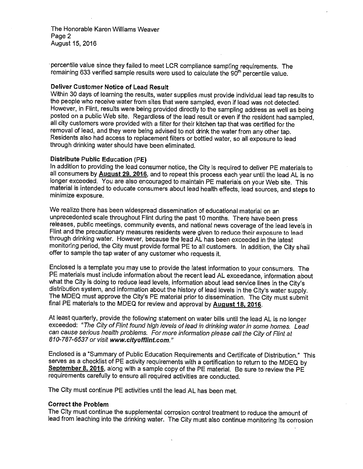The Honorable Karen Williams Weaver Page 2 August 15, 2016

percentile value since they failed to meet LCR compliance sampling requirements. The remaining 633 verified sample results were used to calculate the  $90<sup>th</sup>$  percentile value.

## Deliver Customer Notice of Lead Result

Within 30 days of learning the results, water supplies must provide individual lead tap results to the people who receive water from sites that were sampled, even if lead was not detected. However, in Flint, results were being provided directly to the sampling address as well as being posted on <sup>a</sup> public Web site. Regardless of the lead result or even if the resident had sampled, all city customers were provided with <sup>a</sup> filter for their kitchen tap that was certified for the removal of lead, and they were being advised to not drink the water from any other tap. Residents also had access to replacement filters or bottled water, so all exposure to lead through drinking water should have been eliminated.

#### Distribute Public Education (PE)

In addition to providing the lead consumer notice, the City is required to deliver PE materials to all consumers by **August 29, 2016**, and to repeat this process each year until the lead AL is no longer exceeded. You are also encouraged to maintain PE materials on your Web site. This material is intended to educate consumers about lead health effects, lead sources, and steps to minimize exposure.

We realize there has been widespread dissemination of educational material on an unprecedented scale throughout Flint during the past 10 months. There have been press releases, public meetings, community events, and national news coverage of the lead levels in Flint and the precautionary measures residents were given to reduce their exposure to lead through drinking water. However, because the lead AL has been exceeded in the latest monitoring period, the City must provide formal PE to all customers. In addition, the City shall offer to sample the tap water of any customer who requests it.

Enclosed is <sup>a</sup> template you may use to provide the latest information to your consumers. The PE materials must include information about the recent lead AL exceedance, information about what the City is doing to reduce lead levels, information about lead service lines in the City's distribution system, and information about the history of lead levels in the City's water supply. The MDEQ must approve the City's PE material prior to dissemination. The City must submit final PE materials to the MDEQ for review and approval by August 18, 2016.

At least quarterly, provide the following statement on water bills until the lead AL is no longer exceeded: 'The City of Flint found high levels of lead in drinking water in some homes. Lead can cause serious health problems. For more information please call the City of Flint at 810-787-6537 or visit www.cityofflint.com."

Enclosed is <sup>a</sup> "Summary of Public Education Requirements and Certificate of Distribution." This serves as <sup>a</sup> checklist of PE activity requirements with <sup>a</sup> certification to return to the MDEQ by September 8, 2016, along with a sample copy of the PE material. Be sure to review the PE requirements carefully to ensure all required activities are conducted.

The City must continue PE activities until the lead AL has been met.

#### Correct the Problem

The City must continue the supplemental corrosion control treatment to reduce the amount of lead from leaching into the drinking water. The City must also continue monitoring its corrosion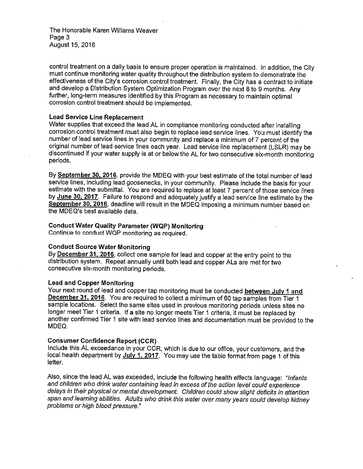The Honorable Karen Williams Weaver Page 3 August 15, 2016

control treatment on <sup>a</sup> daily basis to ensure proper operation is maintained. In addition, the City must continue monitoring water quality throughout the distribution system to demohstrate the effectiveness of the City's corrosion control treatment. Finally, the City has <sup>a</sup> contract to initiate and develop <sup>a</sup> Distribution System Optimization Program over the next <sup>8</sup> to <sup>9</sup> months. Any further, long-term measures identified by this Program as necessary to maintain optimal corrosion control treatment should be implemented.

#### Lead Service Line Replacement

Water supplies that exceed the lead AL in compliance monitoring conducted after installing corrosion control treatment must also begin to replace lead service lines. You must identify the number of lead service lines in your community and replace <sup>a</sup> minimum of 7 percent of the original number of lead service lines each year. Lead service line replacement (LSLR) may be discontinued if your water supply is at or below the AL for two consecutive six-month monitoring periods.

By September 30, 2016, provide the MDEQ with your best estimate of the total number of lead service lines, including lead goosenecks, in your community. Please include the basis for your estimate with the submittal. You are required to replace at least 7 percent of those service lines by June 30, 2017. Failure to respond and adequately justify a lead service line estimate by the September 30, 2016, deadline will result in the MDEQ imposing a minimum number based on the MDEQ's best available data.

## Conduct Water Quality Parameter (WQP) Monitoring

Continue to conduct WQP monitoring as required.

#### Conduct Source Water Monitoring

By December 31, 2016, collect one sample for lead and copper at the entry point to the distribution system. Repeat annually until both lead and copper ALs are met for two consecutive six-month monitoring periods.

#### Lead and Copper Monitoring

Your next round of lead and copper tap monitoring must be conducted between July 1 and December 31, 2016. You are required to collect a minimum of 60 tap samples from Tier 1 sample locations. Select the same sites used in previous monitoring periods unless sites no longer meet Tier 1 criteria. If a site no longer meets Tier 1 criteria, it must be replaced by another confirmed Tier 1 site with lead service lines and documentation must be provided to the MDEQ.

### Consumer Confidence Report (CCR)

Include this AL exceedance in your CCR, which is due to our office, your customers, and the local health department by July 1, 2017. You may use the table format from page 1 of this letter.

Also, since the lead AL was exceeded, include the following health effects language: "Infants and children who drink water containing lead in excess of the action level could experience delays in their physical or mental development. Children could show slight deficits in attention span and learning abilities. Adults who drink this water over many years could develop kidney problems or high blood pressure."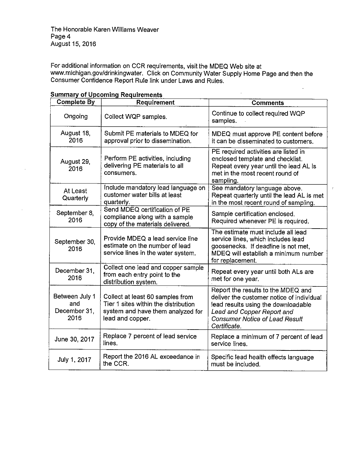For additional information on CCR www.michigan.govldrinkingwater. requirements, visit the MDEQ Web site at Click on Community Water Supply Home Page and then the Consumer Confidence Report Rule link under Laws and Rules.

t,

 $\cdot$ 

 $\sim 10^{11}$  m  $^{-1}$ 

| <b>Complete By</b>                            | Requirement                                                                                                                       | <b>Comments</b>                                                                                                                                                                                               |
|-----------------------------------------------|-----------------------------------------------------------------------------------------------------------------------------------|---------------------------------------------------------------------------------------------------------------------------------------------------------------------------------------------------------------|
| Ongoing                                       | Collect WQP samples.                                                                                                              | Continue to collect required WQP<br>samples.                                                                                                                                                                  |
| August 18,<br>2016                            | Submit PE materials to MDEQ for<br>approval prior to dissemination.                                                               | MDEQ must approve PE content before<br>it can be disseminated to customers.                                                                                                                                   |
| August 29,<br>2016                            | Perform PE activities, including<br>delivering PE materials to all<br>consumers.                                                  | PE required activities are listed in<br>enclosed template and checklist.<br>Repeat every year until the lead AL is<br>met in the most recent round of<br>sampling.                                            |
| At Least<br>Quarterly                         | Include mandatory lead language on<br>customer water bills at least<br>quarterly.                                                 | See mandatory language above.<br>Repeat quarterly until the lead AL is met<br>in the most recent round of sampling.                                                                                           |
| September 8,<br>2016                          | Send MDEQ certification of PE<br>compliance along with a sample<br>copy of the materials delivered.                               | Sample certification enclosed.<br>Required whenever PE is required.                                                                                                                                           |
| September 30,<br>2016                         | Provide MDEQ a lead service line<br>estimate on the number of lead<br>service lines in the water system.                          | The estimate must include all lead<br>service lines, which includes lead<br>goosenecks. If deadline is not met,<br>MDEQ will establish a minimum number<br>for replacement.                                   |
| December 31,<br>2016                          | Collect one lead and copper sample<br>from each entry point to the<br>distribution system.                                        | Repeat every year until both ALs are<br>met for one year.                                                                                                                                                     |
| Between July 1<br>and<br>December 31,<br>2016 | Collect at least 60 samples from<br>Tier 1 sites within the distribution<br>system and have them analyzed for<br>lead and copper. | Report the results to the MDEQ and<br>deliver the customer notice of individual<br>lead results using the downloadable<br>Lead and Copper Report and<br><b>Consumer Notice of Lead Result</b><br>Certificate. |
| June 30, 2017                                 | Replace 7 percent of lead service<br>lines.                                                                                       | Replace a minimum of 7 percent of lead<br>service lines.                                                                                                                                                      |
| July 1, 2017                                  | Report the 2016 AL exceedance in<br>the CCR.                                                                                      | Specific lead health effects language<br>must be included.                                                                                                                                                    |

## Summary of Upcoming Requirements

 $\ddot{\phantom{a}}$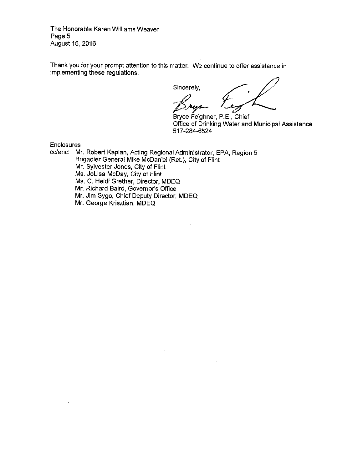The Honorable Karen Williams Weaver Page 5 August 15, 2016

Thank you for your prompt attention to this matter. We continue to offer assistance in implementing these regulations.

Sincerely,

Bryce Feighner, P.E., Chief Office of Drinking Water and Municipal Assistance 517-284-6524

Enclosures

- cc/enc: Mr. Robert Kaplan, Acting Regional Administrator, EPA, Region 5 Brigadier General Mike McDaniel (Ret.), City of Flint
	- Mr. Sylvester Jones, City of Flint
	- Ms. JoLisa McDay, City of Flint
	- Ms. C. Heidi Grether, Director, MDEQ
	- Mr. Richard Baird, Governor's Office
	- Mr. Jim Sygo, Chief Deputy Director, MDEQ
	- Mr. George Krisztian, MDEQ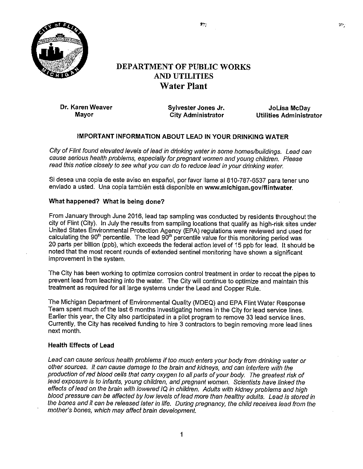

# DEPARTMENT OF PUBLIC WORKS AND UTILITIES Water Plant

Dr. Karen Weaver Mayor

Sylvester Jones Jr. City Administrator

JoLisa McDay Utilities Administrator

## IMPORTANT INFORMATION ABOUT LEAD IN YOUR DRINKING WATER

City of Flint found elevated levels of lead in drinking water in some homes/buildings. Lead can cause serious health problems, especially for pregnant women and young children. Please read this notice closely to see what you can do to reduce lead in your drinking water.

Si desea una copia de este aviso en español, por favor llame al 810-787-6537 para tener uno enviado a usted. Una copia también está disponible en www.michigan.gov/flintwater.

#### What happened? What is being done?

From January through June 2016, lead tap sampling was conducted by residents throughout the city of Flint (City). In July the results from sampling locations that qualify as high-risk sites under United States Environmental Protection Agency (EPA) regulations were reviewed and used for calculating the 90<sup>th</sup> percentile. The lead 90<sup>th</sup> percentile value for this monitoring period was 20 parts per billion (ppb), which exceeds the federal action level of 15 ppb for lead. It should be noted that the most recent rounds of extended sentinel monitoring have shown <sup>a</sup> significant improvement in the system.

The City has been working to optimize corrosion control treatment in order to recoat the pipes to prevent lead from leaching into the water. The City will continue to optimize and maintain this treatment as required for all large systems under the Lead and Copper Rule.

The Michigan Department of Environmental Quality (MDEQ) and EPA Flint Water Response Team spent much of the last <sup>6</sup> months investigating homes in the City for lead service lines. Earlier this year, the City also participated in <sup>a</sup> pilot program to remove <sup>33</sup> lead service lines. Currently, the City has received funding to hire 3 contractors to begin removing more lead lines next month.

#### Health Effects of Lead

Lead can cause serious health problems if too much enters your body from drinking water or other sources. It can cause damage to the brain and kidneys, and can interfere with the production of red blood cells that carry oxygen to all parts of your body. The greatest risk of lead exposure is to infants, young children, and pregnant women. Scientists have linked the effects of lead on the brain with lowered IQ in children. Adults with kidney problems and high blood pressure can be affected by low levels of lead more than healthy adults. Lead is stored in the bones and it can be released later in life. During pregnancy, the child receives lead from the mother's bones, which may affect brain development

l<br>I

 $\mathbf{1}$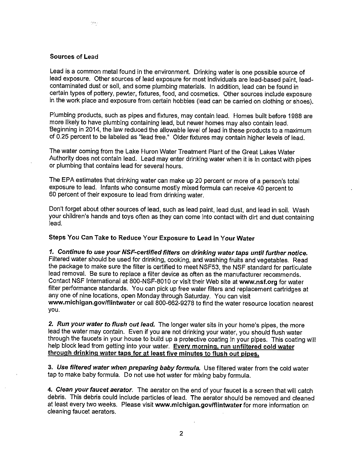#### Sources of Lead

Lead is <sup>a</sup> common metal found in the environment. Drinking water is one possible source of lead exposure. Other sources of lead exposure for most individuals are lead-based paint, leadcontaminated dust or soil, and some plumbing materials. In addition, lead can be found in certain types of pottery, pewter, fixtures, food, and cosmetics. Other sources include exposure in the work place and exposure from certain hobbies (lead can be carried on clothing or shoes).

Plumbing products, such as pipes and fixtures, may contain lead. Homes built before 1988 are more likely to have plumbing containing lead, but newer homes may also contain lead. Beginning in 2014, the law reduced the allowable level of lead in these products to <sup>a</sup> maximum of 0.25 percent to be labeled as "lead free." Older fixtures may contain higher levels of lead.

The water coming from the Lake Huron Water Treatment Plant of the Great Lakes Water Authority does not contain lead. Lead may enter drinking water when it is in contact with pipes or plumbing that contains lead for several hours.

The EPA estimates that drinking water can make up 20 percent or more of <sup>a</sup> person's total exposure to lead. Infants who consume mostly mixed formula can receive 40 percent to <sup>60</sup> percent of their exposure to lead from drinking water.

Don't forget about other sources of lead, such as lead paint, lead dust, and lead in soil. Wash your children's hands and toys often as they can come into contact with dirt and dust containing lead.

#### Steps You Can Take to Reduce Your Exposure to Lead in Your Water

1. Continue to use your NSF-certified filters on drinking water taps until further notice, Filtered water should be used for drinking, cooking, and washing fruits and vegetables. Read the package to make sure the filter is certified to meet NSF53, the NSF standard for particulate lead removal. Be sure to replace <sup>a</sup> filter device as often as the manufacturer recommends. Contact NSF International at 800-NSF-8010 or visit their Web site at www.nsf.org for water filter performance standards. You can pick up free water filters and replacement cartridges at any one of nine locations, open Monday through Saturday. You can visit www.michigan.gov/flintwater or call 800-662-9278 to find the water resource location nearest you.

2. Run your water to flush out lead. The longer water sits in your home's pipes, the more lead the water may contain. Even if you are not drinking your water, you should flush water through the faucets in your house to build up <sup>a</sup> protective coating in your pipes. This coating will help block lead from getting into your water. Every morning, run unfiltered cold water through drinking water taps for at least five minutes to flush out pipes.

3. Use filtered water when preparing baby formula. Use filtered water from the cold water tap to make baby formula. Do not use hot water for mixing baby formula.

4. Clean your faucet aerator. The aerator on the end of your faucet is a screen that will catch debris. This debris could include particles of lead. The aerator should be removed and cleaned at least every two weeks. Please visit www.michigan.govlflintwater for more information on cleaning faucet aerators.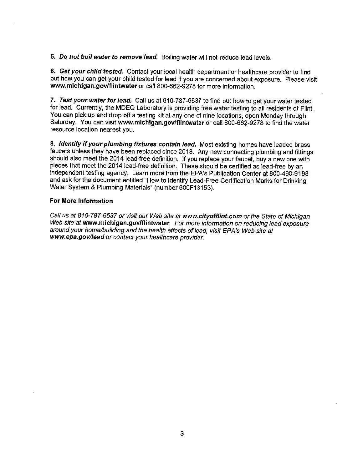5. Do not boil water to remove lead. Boiling water will not reduce lead levels.

6. Get your child tested. Contact your local health department or healthcare provider to find out how you can get your child tested for lead if you are concerned about exposure. Please visit www.michigan.govlflintwater or call 800-662-9278 for more information.

7. Test your water for lead. Call us at 810-787-6537 to find out how to get your water tested for lead. Currently, the MDEQ Laboratory is providing free water testing to all residents of Flint. You can pick up and drop off <sup>a</sup> testing kit at any one of nine locations, open Monday through Saturday. You can visit www.michigan.gov/flintwater or call 800-662-9278 to find the water resource location nearest you.

8. Identify if your plumbing fixtures contain lead. Most existing homes have leaded brass faucets unless they have been replaced since 2013. Any new connecting plumbing and fittings should also meet the 2014 lead-free definition. If you replace your faucet, buy <sup>a</sup> new one with pieces that meet the 2014 lead-free definition. These should be certified as lead-free by an independent testing agency. Learn more from the EPA's Publication Center at 800-490-9198 and ask for the document entitled "How to Identify Lead-Free Certification Marks for Drinking Water System & Plumbing Materials" (number 600F13153).

#### For More Information

Call us at 810-787-6537 or visit our Web site at www.cityofflint.com or the State of Michigan Web site at www.michigan.gov/flintwater. For more information on reducing lead exposure around your home/building and the health effects of lead, visit EPA's Web site at www.epa.gov/lead or contact your healthcare provider.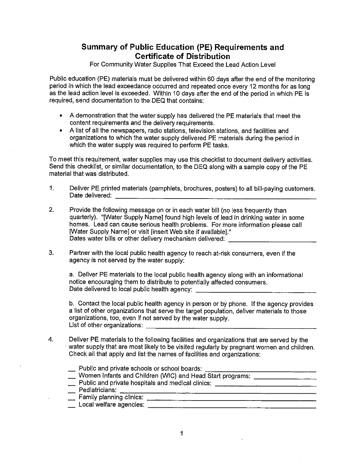# Summary of Public Education (PE) Requirements and Certificate of Distribution

For Community Water Supplies That Exceed the Lead Action Level

Public education (PE) materials must be delivered within 60 days after the end of the monitoring period in which the lead exceedance occurred and repeated once every 12 months for as long as the lead action level is exceeded. Within 10 days after the end of the period in which PE is required, send documentation to the DEQ that contains:

- A demonstration that the water supply has delivered the PE materials that meet the content requirements and the delivery requirements.
- A list of all the newspapers, radio stations, television stations, and facilities and organizations to which the water supply delivered PE materials during the period in which the water supply was required to perform PE tasks.

To meet this requirement, water supplies may use this checklist to document delivery activities. Send this checklist, or similar documentation, to the DEQ along with <sup>a</sup> sample copy of the PE material that was distributed.

- 1. Deliver PE printed materials (pamphlets, brochures, posters) to all bill-paying customers. Date delivered: \_\_\_\_\_\_\_\_\_\_\_\_\_\_\_\_\_\_\_\_\_\_\_\_\_\_\_\_\_\_\_\_\_\_\_\_\_\_\_\_\_\_\_\_\_\_\_\_\_\_\_\_\_\_\_\_\_\_\_\_\_\_\_
- 2. Provide the following message on or in each water bill (no less frequently than quarterly). "[Water Supply Name] found high levels of lead in drinking water in some homes. Lead can cause serious health problems. For more information please call [Water Supply Name] or visit [insert Web site if available]." Dates water bills or other delivery mechanism delivered: \_\_\_\_\_\_\_\_\_\_\_\_\_\_\_\_\_\_\_\_\_\_\_
- 3. Partner with the local public health agency to reach at-risk consumers, even if the agency is not served by the water supply:

a. Deliver PE materials to the local public health agency along with an informational notice encouraging them to distribute to potentially affected consumers. Date delivered to local public health agency: \_\_\_\_\_\_\_\_\_\_\_\_\_\_\_\_\_\_\_\_\_\_\_\_\_\_\_\_\_\_\_\_\_\_

b. Contact the local public health agency in person or by phone. If the agency provides <sup>a</sup> list of other organizations that serve the target population, deliver materials to those organizations, too, even if not served by the water supply. List of other organizations: \_\_\_\_\_\_\_\_\_\_\_\_\_\_\_\_\_\_\_\_\_\_\_\_\_\_\_\_\_\_\_\_\_\_\_\_\_\_\_\_\_\_\_\_\_\_\_\_\_\_\_\_\_

- 4. Deliver PE materials to the following facilities and organizations that are served by the • water supply that are most likely to be visited regularly by pregnant women and children. Check all that apply and list the names of facilities and organizations:
	- Public and private schools or school boards: \_\_\_\_\_\_\_\_\_\_\_\_\_\_\_\_\_\_\_\_\_\_\_\_\_\_\_\_\_\_\_\_\_
	- \_\_ Women Infants and Children (WIC) and Head Start programs: \_\_\_\_\_\_\_\_\_\_\_\_\_\_\_\_\_\_\_
	- Public and private hospitals and medical clinics: \_\_\_\_\_\_\_\_\_\_\_\_\_\_\_\_\_\_\_\_\_\_\_\_\_\_\_\_\_\_
	- $\Box$  Pediatricians:  $\Box$
	- Family planning ëlinics: \_\_\_\_\_\_\_\_\_\_\_\_\_\_\_\_\_\_\_\_\_\_\_\_\_\_\_\_\_\_\_\_\_\_\_\_\_\_\_\_\_\_\_\_\_\_\_\_\_\_\_\_\_
	- Local welfare agencies: \_\_\_\_\_\_\_\_\_\_\_\_\_\_\_\_\_\_\_\_\_\_\_\_\_\_\_\_\_\_\_\_\_\_\_\_\_\_\_\_\_\_\_\_\_\_\_\_\_\_\_\_\_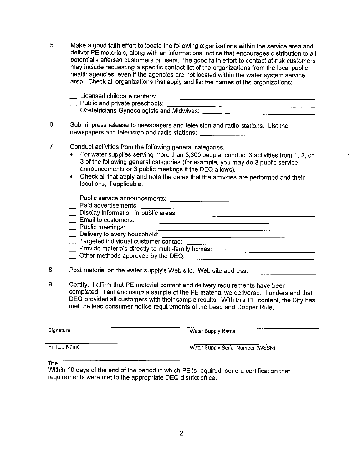- 5. Make <sup>a</sup> good faith effort to locate the following organizations within the service area and deliver PE materials, along with an informational notice that encourages distribution to all potentially affected customers or users. The good faith effort to contact at-risk customers may include requesting <sup>a</sup> specific contact list of the organizations from the local public health agencies, even if the agencies are not located within the water system service area. Check all organizations that apply and list the names of the organizations:
	- $\Box$  Licensed childcare centers:  $\Box$  $\Box$  Public and private preschools:  $\Box$ — Obstetricians-Gynecologists and Midwives: \_\_\_\_\_\_\_\_\_\_\_\_\_\_\_\_\_\_\_\_\_\_\_\_\_\_\_\_\_\_\_\_\_\_\_
- 6. Submit press release to newspapers and television and radio stations. List the newspapers and television and radio stations: \_\_\_\_\_\_\_\_\_\_\_\_\_\_\_\_\_\_\_\_\_\_\_\_\_\_\_\_\_\_\_\_\_\_
- 7. Conduct activities from the following general categories.
	- For water supplies serving more than 3,300 people, conduct <sup>3</sup> activities from 1, 2, or 3 of the following general categories (for example, you may do 3 public service announcements or 3 public meetings if the DEQ allows).
	- Check all that apply and note the dates that the activities are performed and their locations, if applicable.
	- $\Box$  Public service announcements:  $\Box$
	- Paid advertisements:
	- $\hskip1cm$  Display information in public areas:  $\hskip1cm$
	- Email to customers: \_\_\_\_\_\_\_\_\_\_\_\_\_\_\_\_\_\_\_\_\_\_\_\_\_\_\_\_\_\_\_\_\_\_\_\_\_\_\_\_\_\_\_\_\_\_\_\_\_\_\_\_
	- Public meetings: \_\_\_\_\_\_\_\_\_\_\_\_\_\_\_\_\_\_\_\_\_\_\_\_\_\_\_\_\_\_\_\_\_\_\_\_\_\_\_\_\_\_\_\_\_\_\_\_\_\_\_\_\_\_\_
	- Lelivery to every household: which is a contract to the contract of the contract of the contract of the contract of the contract of the contract of the contract of the contract of the contract of the contract of the contra
	- $\Box$  Targeted individual customer contact:  $\Box$
	- Provide materials directly to multi-family homes: \_\_\_\_\_\_\_\_\_\_\_\_\_\_\_\_\_\_\_\_\_\_\_\_\_\_\_\_
	- Other methods approved by the DEQ: \_\_\_\_\_\_\_\_\_\_\_\_\_\_\_\_\_\_\_\_\_\_\_\_\_\_\_\_\_\_\_\_\_\_\_\_\_
- 8. Post material on the water supply's Web site. Web site address: \_\_\_\_\_\_\_\_\_\_\_\_\_\_
- 9. Certify. <sup>I</sup> affirm that PE material content and delivery requirements have been completed. <sup>I</sup> am enclosing <sup>a</sup> sample of the PE material we delivered. <sup>I</sup> understand that DEQ provided all customers with their sample results. With this PE content, the City has met the lead consumer notice requirements of the Lead and Copper Rule.

| Signature           | Water Supply Name                 |
|---------------------|-----------------------------------|
| <b>Printed Name</b> | Water Supply Serial Number (WSSN) |

**Title** 

Within 10 days of the end of the period in which PE is required, send <sup>a</sup> certification that requirements were met to the appropriate DEQ district office.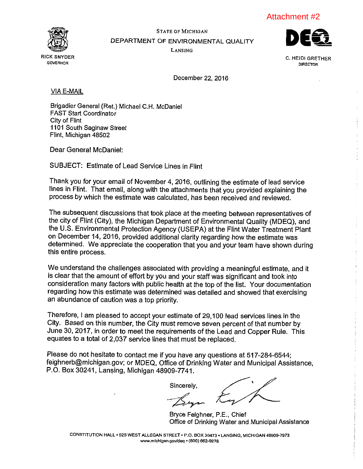Attachment #2



STATE OF MICHIGAN DEPARTMENT OF ENVIRONMENTAL QUALITY LANSING



GOVERNOR DIRECTOR DIRECTOR DIRECTOR DIRECTOR DIRECTOR DIRECTOR DIRECTOR DIRECTOR DIRECTOR DIRECTOR DIRECTOR DI

December22, 2016

VIA E-MAIL

Brigadier General (Ret.) Michael C.H. McDaniel FAST Start Coordinator City of Flint<br>1101 South Saginaw Street Flint, Michigan 48502

Dear General McDaniel:

SUBJECT: Estimate of Lead Service Lines in Flint

Thank you for your email of November 4, 2016, outlining the estimate of lead service lines in Flint. That email, along with the attachments that you provided explaining the process by which the estimate was calculated, has been received and reviewed.

The subsequent discussions that took place at the meeting between representatives of the city of Flint (City), the Michigan Department of Environmental Quality (MDEQ), and the U.S. Environmental Protection Agency (USEPA) at the Flint Water Treatment Plant on December14, 2016, provided additional clarity regarding how the estimate was determined. We appreciate the cooperation that you and your team have shown during this entire process.

We understand the challenges associated with providing <sup>a</sup> meaningful estimate, and it is clear that the amount of effort by you and your staff was significant and took into consideration many factors with public health at the top of the list. Your documentation regarding how this estimate was determined was detailed and showed that exercising an abundance of caution was <sup>a</sup> top priority.

Therefore, <sup>I</sup> am pleased to accept your estimate of 29,100 lead services lines in the City. Based on this number, the City must remove seven percent of that number by June 30, 2017, in order to meet the requirements of the Lead and Copper Rule. This equates to <sup>a</sup> total of 2,037 service lines that must be replaced.

Please do not hesitate to contact me if you have any questions at 517-284-6544; feighnerb©michigan.gov; or MDEQ, Office of Drinking Water and Municipal Assistance, P.O. Box 30241, Lansing, Michigan 48909-7741.

**Sincerely** 

Bryce Feighner, P.E., Chief<br>Office of Drinking Water and Municipal Assistance

CONSTITUTION HALL • 525 WEST ALLEGAN STREET • P.O. BOX 30413' LANSING, MICHIGAN 48909-7973 ~.mIchigan.gov/deq '(500) 662-9278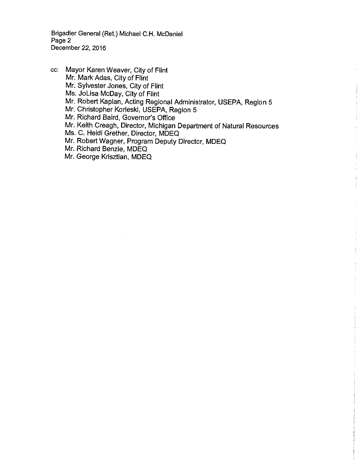Brigadier General (Ret.) Michael C.H. McDaniel Page 2 December 22, 2016

cc: Mayor Karen Weaver, City of Flint Mr. Mark Adas, City of Flint Mr. Sylvester Jones, City of Flint Ms. JoLisa McDay, City of Flint Mr. Robert Kaplan, Acting Regional Administrator, USEPA, Region 5 Mr. Christopher Korleski, USEPA, Region 5 Mr. Richard Baird, Governor's Office Mr. Keith Creagh, Director, Michigan Department of Natural Resources Ms. C. Heidi Grether, Director, MDEQ Mr. Robert Wagner, Program Deputy Director, MDEQ Mr. Richard Benzie, MDEQ Mr. George Krisztian, MDEQ

 $\frac{1}{4}$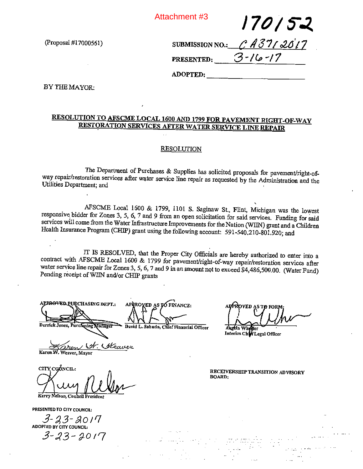Attachment #3

(Proposal #17000561)

| <b>GHILEIIL #Ə</b>       | 170152                                  |
|--------------------------|-----------------------------------------|
|                          | SUBMISSION NO.: $\mathcal{C}$ A 37/2017 |
| PRESENTED: $3 - 16 - 17$ |                                         |
| <b>ADOPTED:</b>          |                                         |

BY THE MAYOR:

# RESOLUTION TO AFSCME LOCAL 1600 AND 1799 FOR PAVEMENT RIGHT-OF-WAY RESTORATION SERVICES AFTER WATER SERVICE LINE REPAIR

#### RESOLUTION

The Department of Purchases & Supplies has solicited proposals for pavement/right-ofway repair/restoration services after water service line repair as requested by the Administration and the Utilities Department; and International International International International International International I

AFSCME Local 1600 & 1799, 1101 S. Saginaw St., Flint, Michigan was the lowest responsive bidder for Zones 3, 5, 6, <sup>7</sup> and <sup>9</sup> from an open solicitation for said services. Funding for said services will come from the Water Infrastructure Improvements for the Nation (WUN) grant and <sup>a</sup> Children Health Insurance Program (CHIP) grant using the following account: 591-540.210-801.920; and

IT IS RESOLVED, that the Proper City Officials are hereby authorized to enter into a contract with AFSCME Local 1600 & 1799 for pavement/right-of-way repair/restoration services after water service line repair for Zones 3, 5, 6, 7 and 9 in an amount not to exceed \$4,486,500.00. (Water Fund) Pending receipt of WIIN and/or CH]P grants

APP<del>ROVED P</del>URCHASING DEPT.: Derrick Jones, Purchasing Manager APROXED AS TO FINANCE: David L. Sabuda, Chief Financial Officer

OVED AS TO FO

Augela Wheeler<br>Interim Chief Legal Officer

st. atem Karen W. Weaver, Mayor

CITY COUNCIL: Kerry Nelson, Council Presiden

PRESENTED TO CITY COUNCIL:

 $3-23-20/7$ <br>ADOPTED BY CITY COUNCIL:  $3 - 23 - 2017$ 

RECEIVERSHIP TRANSITION AD VISORY BOARD: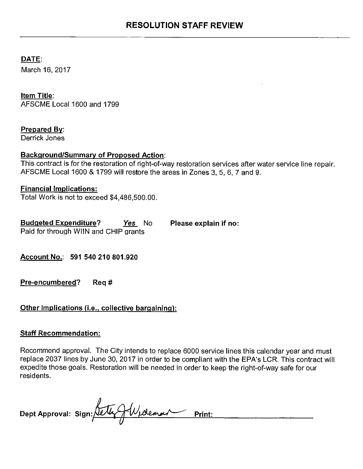# DATE:

March 16, 2017

# Item Title:

AFSCME Local 1600 and 1799

# Prepared By:

Derrick Jones

# **Background/Summary of Proposed Action:**

This contract is for the restoration of right-of-way restoration services after water service line repair. AFSCME Local 1600 & 1799 will restore the areas in Zones 3, 5, 6, 7 and 9.

# Financial Implications:

Total Work is not to exceed \$4,486,500.00.

Budgeted Expenditure? Yes No Please explain if no: Paid for through WIIN and CHIP grants

Account No.: 591 540 210 801.920

Pre-encumbered? Req #

# Other Implications (i.e., collective bargaining):

# Staff Recommendation:

Recommend approval. The City intends to replace 6000 service lines this calendar year and must replace 2037 lines by June 30, 2017 in order to be compliant with the EPA's LCR. This contract will expedite those goals. Restoration will be needed in order to keep the right-of-way safe for our residents.

Dept Approval: Sign: Setty JU, deman Print: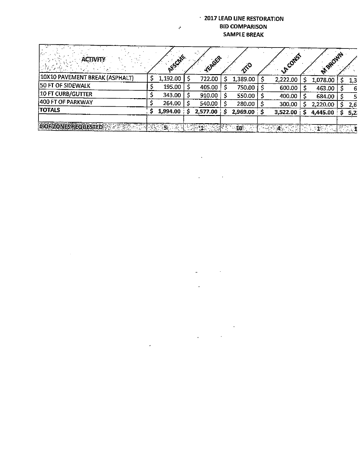## • 2017 LEAD LINE RESTORATION BID COMPARISON SAMPLE BREAK

| <b>ACTIVITY</b>                       | AFSCANE  | YEAGER   | NFO            | <b>LA CONST</b> | M-SACINITY |                 |
|---------------------------------------|----------|----------|----------------|-----------------|------------|-----------------|
| <b>10X10 PAVEMENT BREAK (ASPHALT)</b> | 1,192.00 | 722.00   | 1,389.00       | 2,222.00        | 1,078.00   | 1,3             |
| <b>50 FT OF SIDEWALK</b>              | 195.00   | 405.00   | 750,00         | 600.00          | 463.00     | -6              |
| <b>10 FT CURB/GUTTER</b>              | 343.00   | 910.00   | 550.00         | 400.00          | 684.00     | 5               |
| 400 FT OF PARKWAY                     | 264.00   | 540.00   | 280.00         | 300,00          | 2,220.00   | 2,6             |
| <b>TOTALS</b>                         | 1,994.00 | 2,577.00 | $2,969.00:$ \$ | 3,522.00        | 4,445.00   | 5,2             |
| <b>HOFZONES REQUESTED</b>             | - 51     | BU       | $ 10\rangle$   | - オペン化          | - 1시       | i provinci i pr |

 $\Delta\sim 10^4$ 

 $\sim$   $\sim$ 

 $\mathcal{L}^{\text{max}}_{\text{max}}$  , where  $\mathcal{L}^{\text{max}}_{\text{max}}$ 

 $\mathcal{L}_{\text{max}}$  , where  $\mathcal{L}_{\text{max}}$ 

 $\alpha$  .

 $\sim$ 

 $\mathcal{L}(\mathbf{q},\mathbf{q})$  ,  $\mathcal{L}(\mathbf{q},\mathbf{q})$ 

 $\downarrow$ 

 $\sim$ 

 $\mathcal{L}^{\text{max}}_{\text{max}}$  and  $\mathcal{L}^{\text{max}}_{\text{max}}$ 

 $\mathcal{S}$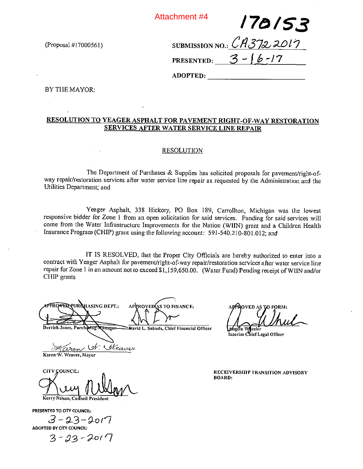Attachment #4

(Proposal #17000561)

| chment #4       | 178153                                            |
|-----------------|---------------------------------------------------|
|                 | submission no.: $\mathcal{C}\mathcal{A}37$ 2 2017 |
|                 | PRESENTED: $3 - 6 - 17$                           |
| <b>ADOPTED:</b> |                                                   |

BY THE MAYOR:

## RESOLUTION TO VEAGER ASPHALT FOR PAVEMENT RIGHT-OF-WAY RESTORATION SERVICES AFTER WATER SERVICE LINE REPAIR

#### RESOLUTION

The Department of Purchases & Supplies has solicited proposals for pavement/right-ofway repair/restoration services after water service line repair as requested by the Administration and the Utilities Department; and

Yeager Asphalt, 338 Hickory, PO Box 189, Carrollton, Michigan was the lowest responsive bidder for Zone <sup>I</sup> from an open solicitation for said services. Funding for said services will come from the Water Infrastructure Improvements for the Nation (WIIN) grant and a Children Health Insurance Program (CHIP) grant using the following account: 591-540.210-801.012; and

IT IS RESOLVED, that the Proper City Officials are hereby authorized to enter into <sup>a</sup> contract with Yeager Asphalt for pavement/right-of-way repair/restoration services after water service line repair for Zone 1 in an amount not to exceed \$1,159,650.00. (Water Fund) Pending receipt of WIIN and/or CHIP grants

ED TURQUASING DEPT.: AP ROVED AS TO FINANCE: Derrick Jones, Purch ring Manager L. Salinda, Chief Financial Officer

Heaver

Lúigela Wiecler<br>Interim Chief Legal Officer

 $\chi_{ren}$  \st. Karcn'W. Weaver, Mayor

CITY GOUNCIL:  $\mathcal{X}$  can be Kerry Nelson, Council President

PRESENTED TO CITY COUNCIL:

 $3 - 23 - 2017$  $3 - 23 - 2017$  RECEIVERShIP TRANSITION ADVISORY BOARD: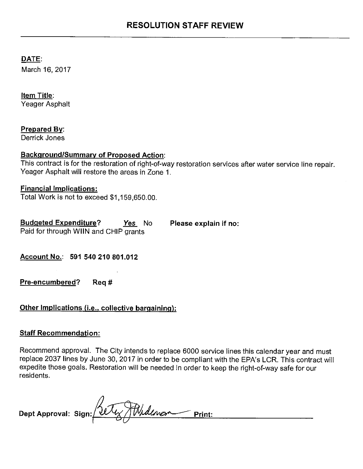# DATE:

March 16, 2017

# Item Title: Veager Asphalt

# Prepared By:

Derrick Jones

# Background/Summary of Proposed Action:

This contract is for the restoration of right-of-way restoration services after water service line repair. Yeager Asphalt will restore the areas in Zone 1.

# Financial Implications:

Total Work is not to exceed \$1,159,650.00.

| <u><b>Budgeted Expenditure?</b></u>   | <b>Yes</b> No | Please explain if no: |
|---------------------------------------|---------------|-----------------------|
| Paid for through WIIN and CHIP grants |               |                       |

Account No.: 591 540 210 801.012

Pre-encumbered? Req #

Other Implications (i.e., collective bargaining):

# Staff Recommendation:

Recommend approval. The City intends to replace 6000 service lines this calendar year and must replace 2037 lines by June 30, 2017 in order to be compliant with the EPA's LCR. This contract will expedite those goals. Restoration will be needed in order to keep the right-of-way safe for our residents.

Dept Approval: Sign: Sety Midenen Print: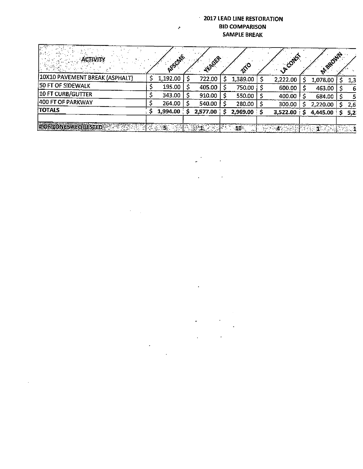## 2017 LEAD LINE RESTORATION BID COMPARISON SAMPLE BREAK

| <b>ACTIVITY</b>                | AFFICTURE | YEAGER   | ELC          | LACONST  | <b>MARQWA</b> |     |
|--------------------------------|-----------|----------|--------------|----------|---------------|-----|
| 10X10 PAVEMENT BREAK (ASPHALT) | 1,192.00  | 722.00   | 1,389.00     | 2,222.00 | 1,078.00      | 1,3 |
| 50 FT OF SIDEWALK              | 195.00    | 405.00   | 750.00       | 600.00   | 463.00        | 6   |
| 10 FT CURB/GUTTER              | 343.00    | 910.00   | 550.00       | 400.00   | 684.00        |     |
| 400 FT OF PARKWAY              | 264.00    | 540.00   | 280.00       | 300.00   | 2,220.00      | 2,6 |
| <b>TOTALS</b>                  | 1,994.00  | 2,577.00 | 2,969.00     | 3,522.00 | 4,445.00      | 5,2 |
| <b>HOFZONESREQUESTED</b>       | 特色影響      | 39.      | $10^{\circ}$ |          |               |     |

 $\frac{1}{\mathbf{w}}\sum_{i=1}^{N} \mathbf{w}_i \mathbf{w}_i$  .

 $\mathcal{L}^{\text{max}}$  and  $\mathcal{L}^{\text{max}}$ 

 $\sim$ 

 $\hat{\mathbf{u}}$ 

 $\mathcal{A}^{\mathcal{A}}$ 

 $\sim$   $\sim$ 

 $\mathbf{v}^{\mathbf{b}}$ 

 $\sim 200$ 

 $\hat{\mathcal{A}}$ 

 $\mathcal{A}^{\mathcal{A}}$ 

 $\ddot{\phantom{a}}$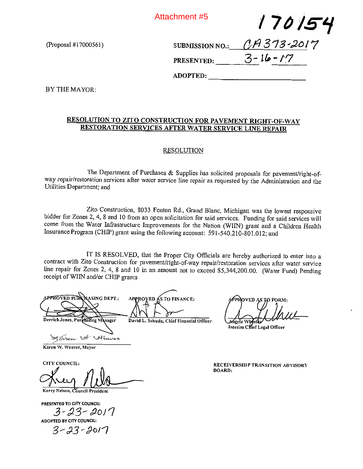Attachment #5

/76/e'/

 $(Proposal #17000561)$  S

|                   | SUBMISSION NO.: $(AH\overline{373} - 2017)$ |
|-------------------|---------------------------------------------|
| <b>PRESENTED:</b> | $3 - 16 - 17$                               |

ADOPTED:

BYTHEMAYOR:

## RESOLUTION TO ZITO CONSTRUCTION FOR PAVEMENT RIGHT-OF-WAY RESTORATION SERVICES AFTER WATER SERVICE LINE REPAIR

#### RESOLUTION

The Department of Purchases & Supplies has solicited proposals for pavement/right-ofway repair/restoration services after water service line repair as requested by the Administration and the Utilities Department; and

Zito Construction, 8033 Fenton Rd., Grand Blanc, Michigan was the lowest responsive bidder for Zones 2, 4, <sup>8</sup> and <sup>10</sup> from an open solicitation for said services. Funding for said services will come from the Water Infrastructure Improvements for the Nation (WIIN) grant and <sup>a</sup> Children Health Insurance Program (CHIP) grant using the following account: 591-540.210-801.012; and

IT IS RESOLVED, that the Proper City Officials are hereby authorized to enter into <sup>a</sup> contract with Zito Construction for pavement/right-of-way repair/restoration services after water service line repair for Zones 2, 4, 8 and 10 in an amount not to exceed \$5,344,200.00. (Water Fund) Pending receipt of WIIN and/or CHIP grants

APPROVED PURCHASING DEPT.: APPROYED AS TO FINANCE: Derrick Jones, Purchasing Manager David L. Sabuda, Chief Financial Officer

PIOOVED AS TO FORM:

Migela Wheeler

Karen W. Weaver, Mayor

CITY COUNCIL:

Kug

, St Steaver

Kerry Nelson, Council President

PRESENTED TO CITY COUNCIL:  $3 - 23 - 2017$ 

ADOPTED BY CITY COUNCIL:  $3-23-2017$  RECEIvERSIII P TRANSITION ADVISORY BOARD: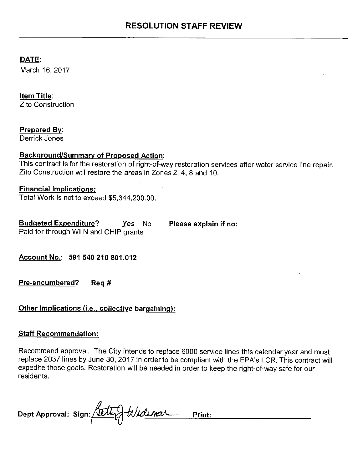# DATE:

March 16, 2017

# Item Title:

Zito Construction

# Prepared By:

Derrick Jones

# Background/Summary of Proposed Action:

This contract is for the restoration of right-of-way restoration services after water service line repair. Zito Construction will restore the areas in Zones 2, 4, 8 and 10.

# Financial Implications:

Total Work is not to exceed \$5,344,200.00.

| <b>Budgeted Expenditure?</b>          | Yes No | Please explain if no: |
|---------------------------------------|--------|-----------------------|
| Paid for through WIIN and CHIP grants |        |                       |

Account No.: 591 540 210 801 .012

Pre-encumbered? Req #

Other Implications (i.e., collective bargaining):

# **Staff Recommendation:**

Recommend approval. The City intends to replace 6000 service lines this calendar year and must replace 2037 lines by June 30, 2017 in order to be compliant with the EPA's LCR. This contract will expedite those goals. Restoration will be needed in order to keep the right-of-way safe for our residents.

Dept Approval: Sign: <u>Setty Widemar Print:</u>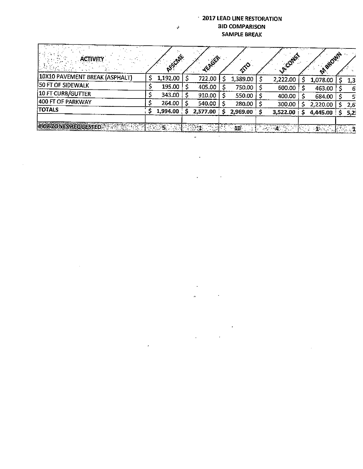## 2017 LEAD LINE RESTORATION BID COMPARISON SAMPLE BREAK

|                                    |    |                                                                                                   |               | SAIVIPLE BREAK |                    |              |     |
|------------------------------------|----|---------------------------------------------------------------------------------------------------|---------------|----------------|--------------------|--------------|-----|
| <b>ACTIVITY</b>                    |    | ASSCANE                                                                                           | <b>HEAGER</b> | <b>ISO</b>     | <b>U.P. Contra</b> | MARQUIN      |     |
| 10X10 PAVEMENT BREAK (ASPHALT)     | \$ | 1,192.00                                                                                          | 722.00        | 1,389.00       | 2,222.00           | 1,078.00     | 1,3 |
| 50 FT OF SIDEWALK                  | S  | 195.00                                                                                            | 405.00        | 750.00         | 600.00             | 463.00       | -6  |
| 10 FT CURB/GUTTER                  |    | 343.00                                                                                            | 910.00        | 550.00         | 400.00             | 684.00       | 5   |
| 400 FT OF PARKWAY                  |    | 264.00                                                                                            | 540.00        | 280.00         | 300.00             | 2,220.00     | 2,6 |
| TOTALS                             |    | 1,994.00                                                                                          | 2,577.00      | 2,969.00       | 3,522.00           | 4,445.00     | 5,2 |
| <b>#OFZONESREQUESTED</b><br>1955 B |    | $\mathcal{L}^{\text{H}}(\mathcal{L}_{\text{M}}) = \mathcal{L}^{\text{H}}(\mathcal{L}_{\text{M}})$ |               | $10^{\circ}$   | 医长 緩               | $\mathbf{1}$ |     |

 $\ddot{a}$ 

 $\bar{z}$ 

 $\sim 10^{11}$ 

 $\ddot{\phantom{a}}$ 

J.

 $\ddot{\phantom{1}}$  $\hat{\mathbf{a}}$ 

 $\sim$ 

 $\ddot{\phantom{0}}$ 

 $\overline{\phantom{a}}$ 

 $\sim 10$ 

ķ.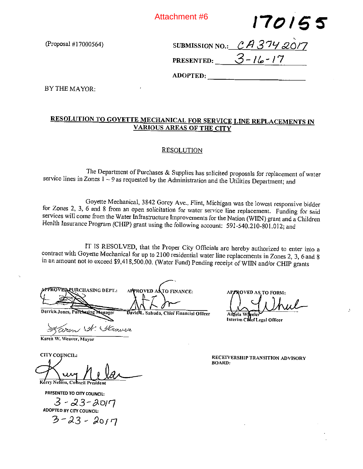Attachment #6

170155

 $(Proposal #17000564)$  S

|                   | SUBMISSION NO.: $\mathcal{C}A374\mathcal{Q}077$ |
|-------------------|-------------------------------------------------|
| <b>PRESENTED:</b> | $3 - 16 - 17$                                   |

ADOPTED:

BY THE MAYOR:

# RESOLUTION TO GOVETTE MECHANICAL FOR SERVICE LINE REPLACEMENTS IN VARIOUS AREAS OF THE CITY

#### RESOLUTION

The Department of Purchases & Supplies has solicited proposals for replacement of water service lines in Zones I — 9 as requested by the Administration and the Utilities Department; and

Goyette Mechanical, 3842 Gorey Ave., Flint, Michigan was the lowest responsive bidder for Zones 2, 3, <sup>6</sup> and <sup>8</sup> from an open solicitation for water service line replacement. Funding for said services will come from the Water Infrastructure Improvements for the Nation (WIIN) grant and a Children Health Insurance Program (CHIP) grant using the following account: 591-540.210-801.012; and

IT IS RESOLVED, that the Proper City Officials are hereby authorized to enter into <sup>a</sup> contract with Goyette Mechanical for up to 2100 residential water line replacements in Zones 2, 3, 6 and 8 in an amount not to exceed \$9,41 8,500.00. (Water Fund) Pending receipt of WIJN and/or CHIP grants

APPROVER PURCHASING DEPT.: **APPROVED AS** TO FINANCE: Derrick Jones, David L. Sabuda, Chief Financial Officer

APPROVED AS TO FORM:

gela W Interim Cillef Legal Officer

Karen W. Weaver, Mayor

CITY COUNCIL:

Kerry Nelson, Council President

:~≤ea~tJ ~k \&w-g;z.

PRESENTED TO CITY COUNCIL:

 $3 - 23 - 2017$  $3 - 23 - 2017$ 

RECEIVERShIP TRANSITION ADVISORY BOARD: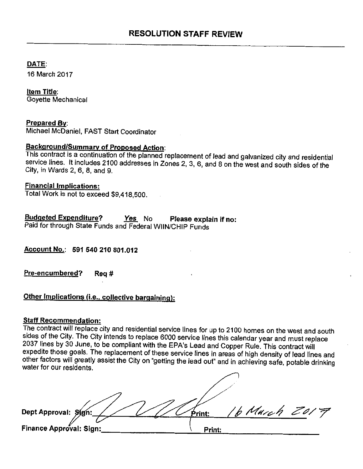DATE:

16 March 2017

Item Title: Goyette Mechanical

Prepared By: Michael McDaniel, FAST Start Coordinator

# BackgroundiSummary of Proposed Action:

This contract is <sup>a</sup> continuation of the planned replacement of lead and galvanized city and residential service lines. It includes 2100 addresses in Zones 2, 3, 6, and 8 on the west and south sides of the City, in Wards  $2, 6, 8$ , and  $9.$ 

## Financial Implications:

Total Work is not to exceed \$9,418,500.

Budgeted Expenditure? Yes No Please explain if no: Paid for through State Funds and Federal WIINICHIP Funds

Account No.: 591 540 210 801 .012

Pre-encumbered? Req #

# Other Implications (i.e., collective bargaining):

# Staff Recommendation:

The contract will replace city and residential service lines for up to 2100 homes on the west and south sides of the City. The City intends to replace 6000 service lines this calendar year and must replace 2037 lines by 30 June, to be compliant with the EPA's Lead and Copper Rule. This contract will expedite those goals. The replacement of these service lines in areas of high density of lead lines and other factors will greatly assist the City on "getting the lead out" and in achieving safe, potable drinking water for our residents.

Dept Approval:  $Sign:$  /////  $F$ rint: /b March 2017 Finance Approval: Sign: Print: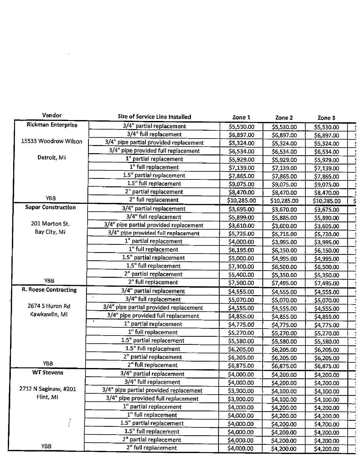| Vendor                      | Size of Service Line Installed             | Zone 1      | Zone 2      | Zone 3      |    |
|-----------------------------|--------------------------------------------|-------------|-------------|-------------|----|
| Rickman Enterprise          | 3/4" partial replacement                   | \$5,530.00  | \$5,530.00  | \$5,530.00  |    |
|                             | 3/4" full replacement                      | \$6,897.00  | \$6,897.00  | \$6,897.00  |    |
| 15533 Woodrow Wilson        | 3/4" pipe partial provided replacement     | \$5,324.00  | \$5,324.00  | \$5,324.00  |    |
|                             | 3/4" pipe provided full replacement        | \$6,534.00  | \$6,534.00  | \$6,534.00  |    |
| Detroit, Mi                 | 1" partial replacement                     | \$5,929.00  | \$5,929.00  | \$5,929.00  |    |
|                             | 1" full replacement                        | \$7,139.00  | \$7,139.00  | \$7,139.00  |    |
|                             | 1.5" partial replacement                   | \$7,865.00  | \$7,865.00  | \$7,865.00  |    |
|                             | 1.5" full replacement                      | \$9,075.00  | \$9,075.00  | \$9,075.00  |    |
|                             | 2" partial replacement                     | \$8,470.00  | \$8,470.00  | \$8,470.00  |    |
| <b>YBB</b>                  | 2" full replacement                        | \$10,285.00 | \$10,285.00 | \$10,285.00 | \$ |
| <b>Super Construction</b>   | 3/4" partial replacement                   | \$3,695.00  | \$3,670.00  | \$3,675.00  |    |
|                             | 3/4" full replacement                      | \$5,899.00  | \$5,885.00  | \$5,890.00  |    |
| 201 Morton St.              | 3/4" pipe partial provided replacement     | \$3,610.00  | \$3,600.00  | \$3,605.00  |    |
| Bay City, MI                | 3/4" pipe provided full replacement        | \$5,725.00  | \$5,715.00  | \$5,720.00  |    |
|                             | 1" partial replacement                     | \$4,000.00  | \$3,995.00  | \$3,995.00  |    |
|                             | 1" full replacement                        | \$6,195.00  | \$6,150.00  | \$6,150.00  |    |
|                             | $\overline{1.5}$ " partial replacement     | \$5,000.00  | \$4,995.00  | \$4,995.00  |    |
|                             | 1.5" full replacement                      | \$7,100.00  | \$6,500.00  | \$6,500.00  |    |
|                             | 2" partial replacement                     | \$5,400.00  | \$5,350.00  | \$5,350.00  |    |
| <b>YBB</b>                  | 2" full replacement                        | \$7,500.00  | \$7,495.00  | \$7,495.00  |    |
| <b>R. Roese Contracting</b> | 3/4" partial replacement                   | \$4,555.00  | \$4,555.00  | \$4,555.00  |    |
|                             | 3/4" full replacement                      | \$5,070.00  | \$5,070.00  | \$5,070.00  |    |
| 2674 S Huron Rd             | 3/4" pipe partial provided replacement     | \$4,555.00  | \$4,555.00  | \$4,555.00  |    |
| Kawkawlin, MI               | 3/4" pipe provided full replacement        | \$4,855.00  | \$4,855.00  | \$4,855.00  |    |
|                             | $\pmb{\epsilon}$<br>1" partial replacement | \$4,775.00  | \$4,775.00  | \$4,775.00  |    |
|                             | 1" full replacement                        | \$5,270.00  | \$5,270.00  | \$5,270.00  |    |
|                             | 1.5" partial replacement                   | \$5,580.00  | \$5,580.00  | \$5,580.00  |    |
|                             | 1.5" full replacement                      | \$6,205.00  | \$6,205.00  | \$6,205.00  |    |
|                             | 2" partial replacement                     | \$6,205.00  | \$6,205.00  | \$6,205.00  |    |
| <b>YBB</b>                  | 2" full replacement                        | \$6,875.00  | \$6,875.00  | \$6,875.00  |    |
| <b>WT Stevens</b>           | 3/4" partial replacement                   | \$4,000.00  | \$4,200.00  | \$4,200.00  |    |
|                             | 3/4" full replacement                      | \$4,000.00  | \$4,200.00  | \$4,200.00  |    |
| 2712 N Saginaw, #201        | 3/4" pipe partial provided replacement     | \$3,900.00  | \$4,100.00  | \$4,100.00  |    |
| Flint, MI                   | 3/4" pipe provided full replacement        | \$3,900.00  | \$4,100.00  | \$4,100.00  |    |
|                             | 1" partial replacement                     | \$4,000.00  | \$4,200.00  | \$4,200.00  |    |
|                             | 1" full replacement                        | \$4,000.00  | \$4,200.00  | \$4,200.00  |    |
|                             | 1.5" partial replacement                   | \$4,000.00  | \$4,200.00  | \$4,200.00  |    |
|                             | 1.5" full replacement                      | \$4,000.00  | \$4,200.00  | \$4,200.00  |    |
|                             | 2" partial replacement                     | \$4,000.00  | \$4,200.00  | \$4,200.00  |    |
| YBB                         | 2" full replacement                        | \$4,000.00  | \$4,200.00  | \$4,200.00  |    |

 $\label{eq:2.1} \mathcal{L}(\mathcal{L}^{\mathcal{L}}_{\mathcal{L}}(\mathcal{L}^{\mathcal{L}}_{\mathcal{L}})) = \mathcal{L}(\mathcal{L}^{\mathcal{L}}_{\mathcal{L}}(\mathcal{L}^{\mathcal{L}}_{\mathcal{L}}))$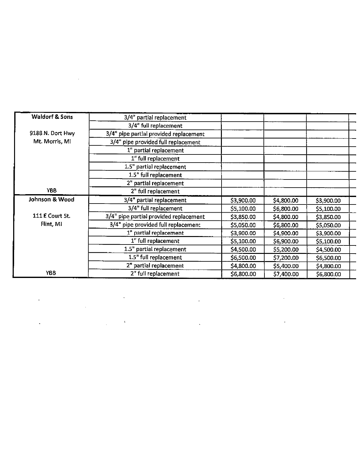| Waldorf & Sons   | 3/4" partial replacement               |            |            |            |
|------------------|----------------------------------------|------------|------------|------------|
|                  | 3/4" full replacement                  |            |            |            |
| 9188 N. Dort Hwy | 3/4" pipe partial provided replacement |            |            |            |
| Mt. Morris, MI   | 3/4" pipe provided full replacement    |            |            |            |
|                  | 1 <sup>ª</sup> partial replacement     |            |            |            |
|                  | 1" full replacement                    |            |            |            |
|                  | 1.5" partial replacement               |            |            |            |
|                  | 1.5" full replacement                  |            |            |            |
|                  | 2" partial replacement                 |            |            |            |
| YBB              | 2" full replacement                    |            |            |            |
| Johnson & Wood   | 3/4" partial replacement               | \$3,900.00 | \$4,800.00 | \$3,900.00 |
|                  | 3/4" full replacement                  | \$5,100.00 | \$6,800.00 | \$5,100.00 |
| 111 E Court St.  | 3/4" pipe partial provided replacement | \$3,850.00 | \$4,800.00 | \$3,850.00 |
| Flint, MI        | 3/4" pipe provided full replacement    | \$5,050.00 | \$6,800.00 | \$5,050.00 |
|                  | 1" partial replacement                 | \$3,900.00 | \$4,900.00 | \$3,900.00 |
|                  | 1" full replacement                    | \$5,100.00 | \$6,900.00 | \$5,100.00 |
|                  | 1.5" partial replacement               | \$4,500.00 | \$5,200.00 | \$4,500.00 |
|                  | 1.5" full replacement                  | \$6,500.00 | \$7,200.00 | \$6,500.00 |
|                  | 2" partial replacement                 | \$4,800.00 | \$5,400.00 | \$4,800.00 |
| <b>YBB</b>       | 2" full replacement                    | \$6,800.00 | \$7,400.00 | \$6,800.00 |

 $\frac{1}{\sqrt{2}}$ 

 $\ddot{\phantom{0}}$ 

 $\frac{1}{\sqrt{2}}$ 

 $\ddot{\phantom{0}}$ 

 $\frac{1}{\sqrt{2}}$ 

 $\ddot{\phantom{0}}$ 

 $\frac{1}{2}$ 

 $\sim 10^6$ 

 $\sim 10$ 

 $\ddot{\phantom{0}}$ 

 $\ddot{\phantom{0}}$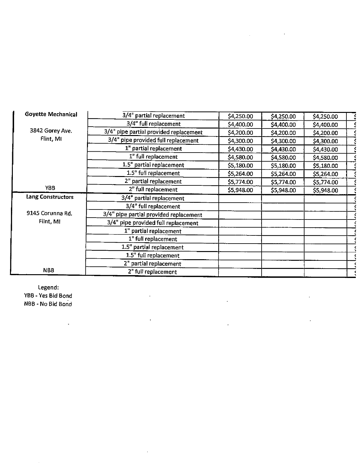| 3/4" partial replacement               | \$4,250.00 | \$4,250.00 | \$4,250.00 |            |
|----------------------------------------|------------|------------|------------|------------|
| 3/4" full replacement                  | \$4,400.00 | \$4,400.00 | \$4,400.00 |            |
| 3/4" pipe partial provided replacement | \$4,200.00 | \$4,200.00 | \$4,200.00 |            |
| 3/4" pipe provided full replacement    | \$4,300.00 | \$4,300.00 | \$4,300.00 |            |
| 1" partial replacement                 | \$4,430.00 | \$4,430.00 | \$4,430.00 |            |
| 1" full replacement                    | \$4,580.00 | \$4,580.00 | \$4,580.00 |            |
| 1.5" partial replacement               | \$5,180.00 | \$5,180.00 | \$5,180.00 |            |
| 1.5" full replacement                  | \$5,264.00 | \$5,264.00 | \$5,264.00 |            |
| 2" partial replacement                 | \$5,774.00 | \$5,774.00 |            |            |
| 2" full replacement                    | \$5,948.00 | \$5,948.00 | \$5,948.00 |            |
| 3/4" partial replacement               |            |            |            |            |
| 3/4" full replacement                  |            |            |            |            |
| 3/4" pipe partial provided replacement |            |            |            |            |
| 3/4" pipe provided full replacement    |            |            |            |            |
| 1" partial replacement                 |            |            |            |            |
| 1" full replacement                    |            |            |            |            |
| 1.5" partial replacement               |            |            |            |            |
| 1.5" full replacement                  |            |            |            |            |
| 2" partial replacement                 |            |            |            |            |
| 2" full replacement                    |            |            |            |            |
|                                        |            |            |            | \$5,774.00 |

 $\ddot{\phantom{0}}$ 

 $\mathcal{L}$ 

 $\bar{\Psi}$ 

 $\ddot{\phantom{a}}$ 

 $\bar{\mathcal{L}}$ 

 $\ddot{\phantom{a}}$ 

 $\sim 10$ 

Legend: YBS - Yes Bid Bond NBB - No Bid Bond

 $\ddot{\phantom{1}}$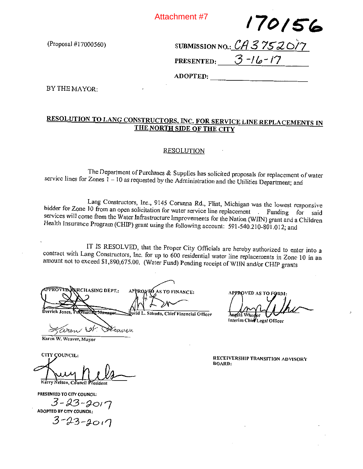Attachment #7

170156

(Proposal  $\#17000560$ ) S

|            | SUBMISSION NO.: $\mathcal{C}A 3 752017$ |
|------------|-----------------------------------------|
| PRESENTED: | $3 - 16 - 17$                           |

ADOPTED:

BY THE MAYOR:

# RESOLUTION TO LANG CONSTRUCTORS, INC. FOR SERVICE LINE REPLACEMENTS IN THE NORTH SIDE OF THE CITY

#### RESOLUTION

The Department of Purchases & Supplies has solicited proposals for replacement of water service lines for Zones  $1 - 10$  as requested by the Administration and the Utilities Department; and

Lang Constructors, Inc., 9145 Corunna Rd., Flint, Michigan was the lowest responsive bidder for Zone 10 from an open solicitation for water service line replacement . Funding for said services will come from the Water Infrastructure Improvements for the Nation (WIIN) grant and <sup>a</sup> Children Health Insurance Program (CHIP) grant using the following account: 591-540.210-801.012; and

IT IS RESOLVED, that the Proper City Officials are hereby authorized to enter into <sup>a</sup> contract with Lang Constructors, Inc. for up to 600 residential water line replacements in Zone 10 in an amount not to exceed \$1,890,675.00. (Water Fund) Pending receipt of WIIN and/or CHIP grants

**APPROVED,** RNRCHASING DEPT.: APPROXED AS TO FINANCE: id L. Sabuda, Chief Financial Officer

Zeauer iren

Karen W. Weaver, Mayor

CITY COUNCIL: ~Nelson, Council President

PRESENTED TO CITY COUNCIL:

 $3 - 23 - 2017$ <br>ADOPTED BY CITY COUNCIL:

 $3 - 23 - 2017$ 

APPROVED AS TO FORM

Interim Chier Legal Officer

RECEIVERSHIP TRANSITION ADVISORY BOARD: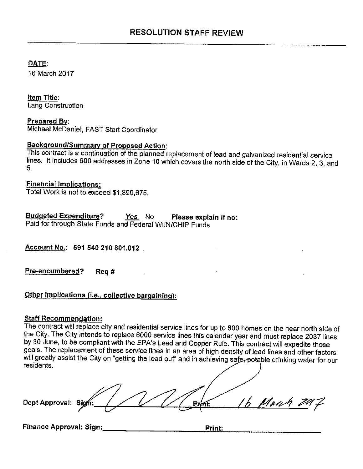DATE:

16 March 2017

Item Title: Lang Construction

Prepared By: Michael McDaniel, FAST Start Coordinator

# Background/Summary of Proposed Action:

This contract is <sup>a</sup> continuation of the planned replacement of lead and galvanized residential service lines. It includes 600 addresses in Zone 10 which covers the north side of the City, in Wards 2, 3, and 5.

Financial Implications: Total Work is not to exceed \$1,890,675.

Budgeted Expenditure? Yes No Please explain if no: Paid for through State Funds and Federal WI1N/CH[P Funds

Account No.: 591 540 210 801.012

Pre-encumbered? Req  $#$ 

Other Implications (i.e., collective bargaining):

# Staff Recommendation:

The contract will replace city and residential service lines for up to 600 homes an the near north side of the City. The City intends to replace 6000 service lines this calendar year and must replace 2037 lines by 30 June, to be compliant with the EPA's Lead and Copper Rule. This contract will expedite those goals. The replacement of these service lines in an area of high density of lead lines and other factors will greatly assist the City on "getting the lead out" and in achieving safe, potable drinking water for our iesidents.

16 March 20 Dept Approval: Sight

Finance Approval: Sign: Print: Print: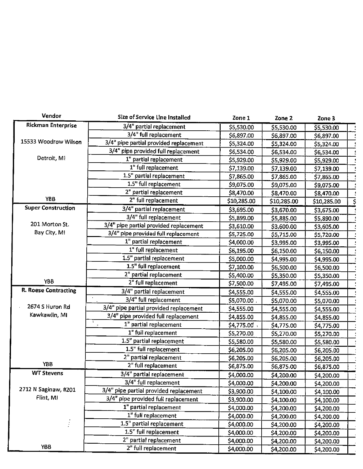| Vendor                      | Size of Service Line Installed                 | Zone 1       | Zone <sub>2</sub> | Zone 3      |  |
|-----------------------------|------------------------------------------------|--------------|-------------------|-------------|--|
| Rickman Enterprise          | 3/4" partial replacement                       | \$5,530.00   | \$5,530.00        | \$5,530.00  |  |
|                             | 3/4" full replacement                          | \$6,897.00   | \$6,897.00        | \$6,897.00  |  |
| 15533 Woodrow Wilson        | 3/4" pipe partial provided replacement         | \$5,324.00   | \$5,324.00        | \$5,324.00  |  |
|                             | 3/4" pipe provided full replacement            | \$6,534.00   | \$6,534.00        | \$6,534.00  |  |
| Detroit, Mi                 | 1" partial replacement                         | \$5,929.00   | \$5,929.00        | \$5,929.00  |  |
|                             | 1" full replacement                            | \$7,139.00   | \$7,139.00        | \$7,139.00  |  |
|                             | 1.5" partial replacement                       | \$7,865.00   | \$7,865.00        | \$7,865.00  |  |
|                             | 1.5" full replacement                          | \$9,075.00   | \$9,075.00        | \$9,075.00  |  |
|                             | 2" partial replacement                         | \$8,470.00   | \$8,470.00        | \$8,470.00  |  |
| <b>YBB</b>                  | 2" full replacement                            | \$10,285.00  | \$10,285.00       | \$10,285.00 |  |
| <b>Super Construction</b>   | 3/4" partial replacement                       | \$3,695.00   | \$3,670.00        | \$3,675.00  |  |
|                             | 3/4" full replacement                          | \$5,899.00   | \$5,885.00        | \$5,890.00  |  |
| 201 Morton St.              | 3/4" pipe partial provided replacement         | \$3,610.00   | \$3,600.00        | \$3,605.00  |  |
| Bay City, MI                | 3/4" pipe provided full replacement            | \$5,725.00   | \$5,715.00        | \$5,720.00  |  |
|                             | 1" partial replacement                         | \$4,000.00   | \$3,995.00        | \$3,995.00  |  |
|                             | 1" full replacement                            | \$6,195.00   | \$6,150.00        | \$6,150.00  |  |
|                             | 1.5" partial replacement                       | \$5,000.00   | \$4,995.00        | \$4,995.00  |  |
|                             | 1.5" full replacement                          | \$7,100.00   | \$6,500.00        | \$6,500.00  |  |
|                             | 2" partial replacement                         | \$5,400.00   | \$5,350.00        | \$5,350.00  |  |
| <b>YBB</b>                  | 2" full replacement                            | \$7,500.00   | \$7,495.00        | \$7,495.00  |  |
| <b>R. Roese Contracting</b> | 3/4" partial replacement                       | \$4,555.00   | \$4,555.00        | \$4,555.00  |  |
|                             | 3/4" full replacement                          | \$5,070.00.  | \$5,070.00        | \$5,070.00  |  |
| 2674 S Huron Rd             | 3/4" pipe partial provided replacement         | \$4,555.00   | \$4,555.00        | \$4,555.00  |  |
| Kawkawlin, MI               | 3/4" pipe provided full replacement            | \$4,855.00   | \$4,855.00        | \$4,855.00  |  |
|                             | $\overline{v}_\perp$<br>1" partial replacement | \$4,775.00 . | \$4,775.00        | \$4,775.00  |  |
|                             | 1" full replacement                            | \$5,270.00   | \$5,270.00        | \$5,270.00  |  |
|                             | 1.5" partial replacement                       | \$5,580.00   | \$5,580.00        | \$5,580.00  |  |
|                             | 1.5" full replacement                          | \$6,205.00   | \$6,205.00        | \$6,205.00  |  |
|                             | 2" partial replacement                         | \$6,205.00   | \$6,205.00        | \$6,205.00  |  |
| <b>YBB</b>                  | 2" full replacement                            | \$6,875.00   | \$6,875.00        | \$6,875.00  |  |
| <b>WT Stevens</b>           | 3/4" partial replacement                       | \$4,000.00   | \$4,200.00        | \$4,200.00  |  |
|                             | 3/4" full replacement                          | \$4,000.00   | \$4,200.00        | \$4,200.00  |  |
| 2712 N Saginaw, #201        | 3/4" pipe partial provided replacement         | \$3,900.00   | \$4,100.00        | \$4,100.00  |  |
| Flint, MI                   | 3/4" pipe provided full replacement            | \$3,900.00   | \$4,100.00        | \$4,100.00  |  |
|                             | 1" partial replacement                         | \$4,000.00   | \$4,200.00        | \$4,200.00  |  |
|                             | 1" full replacement                            | \$4,000.00   | \$4,200.00        | \$4,200.00  |  |
| j.                          | 1.5" partial replacement                       | \$4,000.00   | \$4,200.00        | \$4,200.00  |  |
|                             | 1.5" full replacement                          | \$4,000.00   | \$4,200.00        | \$4,200.00  |  |
|                             | 2" partial replacement                         | \$4,000.00   | \$4,200.00        | \$4,200.00  |  |
| YBB                         | 2" full replacement                            | \$4,000.00   | \$4,200.00        | \$4,200.00  |  |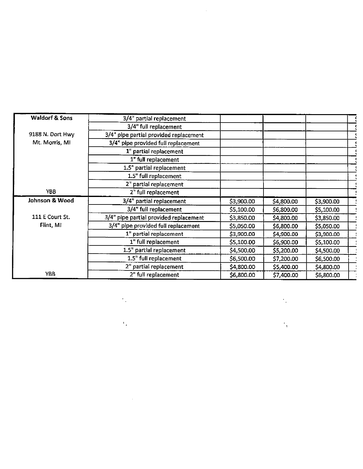| <b>Waldorf &amp; Sons</b> | 3/4" partial replacement               |            |            |            |  |
|---------------------------|----------------------------------------|------------|------------|------------|--|
|                           | 3/4" full replacement                  |            |            |            |  |
| 9188 N. Dort Hwy          | 3/4" pipe partial provided replacement |            |            |            |  |
| Mt. Morris, MI            | 3/4" pipe provided full replacement    |            |            |            |  |
|                           | 1" partial replacement                 |            |            |            |  |
|                           | 1" full replacement                    |            |            |            |  |
|                           | 1.5" partial replacement               |            |            |            |  |
|                           | 1.5" full replacement                  |            |            |            |  |
|                           | 2" partial replacement                 |            |            |            |  |
| YBB.                      | 2" full replacement                    |            |            |            |  |
| Johnson & Wood            | 3/4" partial replacement               | \$3,900.00 | \$4,800.00 | \$3,900.00 |  |
|                           | 3/4" full replacement                  | \$5,100.00 | \$6,800.00 | \$5,100.00 |  |
| 111 E Court St.           | 3/4" pipe partial provided replacement | \$3,850.00 | \$4,800.00 | \$3,850.00 |  |
| Flint, MI                 | 3/4" pipe provided full replacement    | \$5,050.00 | \$6,800.00 | \$5,050.00 |  |
|                           | 1" partial replacement                 | \$3,900.00 | \$4,900.00 | \$3,900.00 |  |
|                           | 1" full replacement                    | \$5,100.00 | \$6,900.00 | \$5,100.00 |  |
|                           | 1.5" partial replacement               | \$4,500.00 | \$5,200.00 | \$4,500.00 |  |
|                           | 1.5" full replacement                  | \$6,500.00 | \$7,200.00 | \$6,500.00 |  |
|                           | 2" partial replacement                 | \$4,800.00 | \$5,400.00 | \$4,800.00 |  |
| YBB                       | 2" full replacement                    | \$6,800.00 | \$7,400.00 | \$6,800.00 |  |

 $\mathcal{L}^{\text{max}}_{\text{max}}$ 

 $\mathcal{A}_{\bullet}^{(n)}$ 

 $\mathcal{L}_{\text{max}}$  .

 $\mathcal{A}_{\mathbf{Z}}$  , where  $\mathcal{A}_{\mathbf{Z}}$ 

 $\label{eq:2.1} \frac{1}{\sqrt{2}}\left(\frac{1}{\sqrt{2}}\right)^{2} \left(\frac{1}{\sqrt{2}}\right)^{2} \left(\frac{1}{\sqrt{2}}\right)^{2} \left(\frac{1}{\sqrt{2}}\right)^{2} \left(\frac{1}{\sqrt{2}}\right)^{2} \left(\frac{1}{\sqrt{2}}\right)^{2} \left(\frac{1}{\sqrt{2}}\right)^{2} \left(\frac{1}{\sqrt{2}}\right)^{2} \left(\frac{1}{\sqrt{2}}\right)^{2} \left(\frac{1}{\sqrt{2}}\right)^{2} \left(\frac{1}{\sqrt{2}}\right)^{2} \left(\$ 

 $\label{eq:2.1} \frac{1}{\sqrt{2}}\int_{0}^{\infty}\frac{1}{\sqrt{2\pi}}\left(\frac{1}{\sqrt{2\pi}}\right)^{2}d\mu\,d\mu\,.$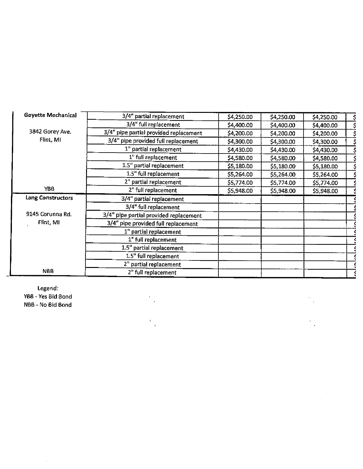| <b>Goyette Mechanical</b> | 3/4" partial replacement               | \$4,250.00 | \$4,250.00 | \$4,250.00 |  |
|---------------------------|----------------------------------------|------------|------------|------------|--|
|                           | 3/4" full replacement                  | \$4,400.00 | \$4,400.00 | \$4,400.00 |  |
| 3842 Gorey Ave.           | 3/4" pipe partial provided replacement | \$4,200.00 | \$4,200.00 | \$4,200.00 |  |
| Flint, MI                 | 3/4" pipe provided full replacement    | \$4,300.00 | \$4,300.00 | \$4,300.00 |  |
|                           | 1" partial replacement                 | \$4,430.00 | \$4,430.00 | \$4,430.00 |  |
|                           | 1" full replacement                    | \$4,580.00 | \$4,580.00 | \$4,580.00 |  |
|                           | 1.5" partial replacement               | \$5,180.00 | \$5,180.00 | \$5,180.00 |  |
|                           | 1.5" full replacement                  | \$5,264.00 | \$5,264.00 | \$5,264.00 |  |
|                           | 2" partial replacement                 | \$5,774.00 | \$5,774.00 | \$5,774.00 |  |
| YBB                       | 2" full replacement                    | \$5,948.00 | \$5,948.00 | \$5,948.00 |  |
| Lang Constructors         | 3/4" partial replacement               |            |            |            |  |
|                           | 3/4" full replacement                  |            |            |            |  |
| 9145 Corunna Rd.          | 3/4" pipe partial provided replacement |            |            |            |  |
| Flint, MI                 | 3/4" pipe provided full replacement    |            |            |            |  |
|                           | 1" partial replacement                 |            |            |            |  |
|                           | 1" full replacement                    |            |            |            |  |
|                           | 1.5" partial replacement               |            |            |            |  |
|                           | 1.5" full replacement                  |            |            |            |  |
|                           | 2" partial replacement                 |            |            |            |  |
| NBB                       | 2" full replacement                    |            |            |            |  |

 $\ddot{\phantom{a}}$ 

 $\mathfrak{t}^{\pm}$  $\frac{1}{\pi}$   $\ddot{\phantom{a}}$ 

Legend: YBS - Yes Bid Bond NBB - No Bid Bond

l,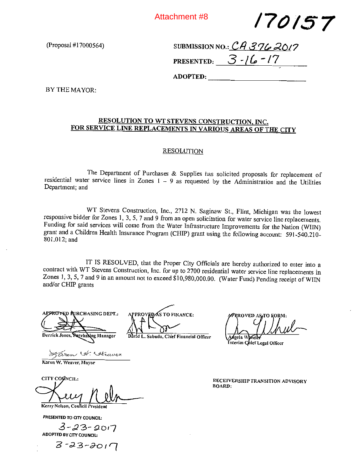Attachment #8

/70/57

 $(Proposal #17000564)$ 

| PRESENTED: $3 - 16 - 17$ | SUBMISSION NO.: $CA$ 376 2017 |
|--------------------------|-------------------------------|
|                          |                               |

ADOPTED:

BY THE MAYOR:

## RESOLUTION TO WT STEVENS CONSTRUCTION. INC. FOR SERVICE LINE REPLACEMENTS IN VARIOUS AREAS OF THE CITY

#### RESOLUTION

The Department of Purchases & Supplies has solicited proposals for replacement of residential water service lines in Zones  $1 - 9$  as requested by the Administration and the Utilities Department; and

WT Stevens Construction, Inc., 2712 N. Saginaw St., Flint, Michigan was the lowest responsive bidder for Zones 1, 3, 5, <sup>7</sup> and <sup>9</sup> from an open solicitation for water service line replacements. Funding for said services will come from the Water Infrastructure Improvements for the Nation (WIIN) grant and <sup>a</sup> Children Health Insurance Program (CHIP) grant using the following account: 591-540.210- 801.012; and

IT IS RESOLVED, that the Proper City Officials are hereby authorized to enter into <sup>a</sup> contract with WT Stevens Construction, Inc. for up to 2700 residential water service line replacements in Zones 1, 3, 5, <sup>7</sup> and 9 in an amount not to exceed \$10,980,000.00. (Water Fund) Pending receipt of WTIN and/or CHIP grants

rd Rurchasing dept.: ng Manager

Faren St. Straver

Karen W. Weaver, Mayor

CITY COUNCIL: Kerry Nelson, Council Presiden

PRESENTED TO CITY COUNCIL:

3-23-2017 ADOPTED BY CITY COUNCIL:

 $3 - 23 - 2017$ 

APPROVEDAS TO FINANCE:

Dàvid L. Sabuda, Chief Financial Officer

RROVED AS TO FORM: ptelet ágela V

Interim Chief Legal Officer

RECEIVERSHIP TRANSITION ADVISORY BOARD: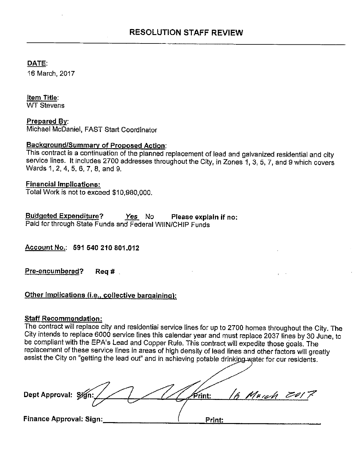DATE:

16 March, 2017

Item Title:

WT Stevens

Prepared By: Michael McDaniel, FAST Start Coordinator

# Background!Summary of Proposed Action:

This contract is <sup>a</sup> continuation of the planned replacement of lead and galvanized residential and city service lines. It includes 2700 addresses throughout the City, in Zones 1, 3, 5, 7, and 9 which covers Wards 12,4,5,6,7,8, and 9.

## Financial Implications:

Total Work is not to exceed \$1 0.980,000.

Budgeted Expenditure? Yes No Please explain if no: Paid for through State Funds and Federal WIINICHIP Funds

AccountNo.: 591 540210801.012

 $Pre-encumbered?$  Req  $#$ 

# Other Implications (i.e., collective bargaining):

## Staff Recommendation:

The contract will replace city and residential service lines for up to 2700 homes throughout the City. The City intends to replace 6000 service lines this calendar year and must replace 2037 lines by 30 June, to be compliant with the EPA's Lead and Copper Rule. This contract will expedite those goals. The replacement of these service lines in areas of high density of lead lines and other factors will greatly assist the City on "getting the lead out" and in achieving potable drinking water for our residents.

Dept Approval~~~~int: /o ~~—A ~/<sup>7</sup> Finance Approval: Sign: ( Print: ~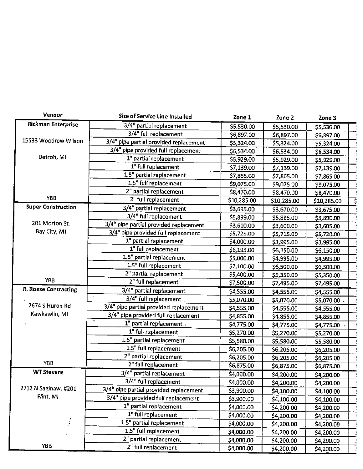| Vendor                      | Size of Service Line Installed         | Zone 1      | Zone <sub>2</sub> | Zone <sub>3</sub> |    |
|-----------------------------|----------------------------------------|-------------|-------------------|-------------------|----|
| Rickman Enterprise          | 3/4" partial replacement               | \$5,530.00  | \$5,530.00        | \$5,530.00        |    |
|                             | 3/4" full replacement                  | \$6,897.00  | \$6,897.00        | \$6,897.00        |    |
| 15533 Woodrow Wilson        | 3/4" pipe partial provided replacement | \$5,324.00  | \$5,324.00        | \$5,324.00        |    |
|                             | 3/4" pipe provided full replacement    | \$6,534.00  | \$6,534.00        | \$6,534.00        |    |
| Detroit, Mi                 | 1" partial replacement                 | \$5,929.00  | \$5,929.00        | \$5,929.00        |    |
|                             | 1" full replacement                    | \$7,139.00  | \$7,139.00        | \$7,139.00        |    |
|                             | 1.5" partial replacement               | \$7,865.00  | \$7,865.00        | \$7,865.00        |    |
|                             | 1.5" full replacement                  | \$9,075.00  | \$9,075.00        | \$9,075.00        |    |
|                             | 2" partial replacement                 | \$8,470.00  | \$8,470.00        | \$8,470.00        |    |
| <b>YBB</b>                  | 2" full replacement                    | \$10,285.00 | \$10,285.00       | \$10,285.00       | \$ |
| <b>Super Construction</b>   | 3/4" partial replacement               | \$3,695.00  | \$3,670.00        | \$3,675.00        |    |
|                             | 3/4" full replacement                  | \$5,899.00  | \$5,885.00        | \$5,890.00        |    |
| 201 Morton St.              | 3/4" pipe partial provided replacement | \$3,610.00  | \$3,600.00        | \$3,605.00        |    |
| Bay City, MI                | 3/4" pipe provided full replacement    | \$5,725.00  | \$5,715.00        | \$5,720.00        |    |
|                             | 1" partial replacement                 | \$4,000.00  | \$3,995.00        | \$3,995.00        |    |
|                             | 1" full replacement                    | \$6,195.00  | \$6,150.00        | \$6,150.00        |    |
|                             | 1.5" partial replacement               | \$5,000.00  | \$4,995.00        | \$4,995.00        |    |
|                             | 1.5" full replacement                  | \$7,100.00  | \$6,500.00        | \$6,500.00        |    |
|                             | 2" partial replacement                 | \$5,400.00  | \$5,350.00        | \$5,350.00        |    |
| YBB                         | 2" full replacement                    | \$7,500.00  | \$7,495.00        | \$7,495.00        |    |
| <b>R. Roese Contracting</b> | 3/4" partial replacement               | \$4,555.00  | \$4,555.00        | \$4,555.00        |    |
|                             | 3/4" full replacement.                 | \$5,070.00  | \$5,070.00        | \$5,070.00        |    |
| 2674 S Huron Rd             | 3/4" pipe partial provided replacement | \$4,555.00  | \$4,555.00        | \$4,555.00        |    |
| Kawkawlin, MI               | 3/4" pipe provided full replacement    | \$4,855.00  | \$4,855.00        | \$4,855.00        |    |
|                             | Ŧ<br>1" partial replacement .          | \$4,775.00  | \$4,775.00        | \$4,775.00        |    |
|                             | 1" full replacement                    | \$5,270.00  | \$5,270.00        | \$5,270.00        |    |
|                             | 1.5" partial replacement               | \$5,580.00  | \$5,580.00        | \$5,580.00        |    |
|                             | 1.5" full replacement                  | \$6,205.00  | \$6,205.00        | \$6,205.00        |    |
|                             | 2" partial replacement                 | \$6,205.00  | \$6,205.00        | \$6,205.00        |    |
| <b>YBB</b>                  | 2" full replacement                    | \$6,875.00  | \$6,875.00        | \$6,875.00        |    |
| <b>WT Stevens</b>           | 3/4" partial replacement               | \$4,000.00  | \$4,200.00        | \$4,200.00        |    |
|                             | 3/4" full replacement                  | \$4,000.00  | \$4,200.00        | \$4,200.00        |    |
| 2712 N Saginaw, #201        | 3/4" pipe partial provided replacement | \$3,900.00  | \$4,100.00        | \$4,100.00        |    |
| Flint, MI                   | 3/4" pipe provided full replacement    | \$3,900.00  | \$4,100.00        | \$4,100.00        |    |
|                             | 1" partial replacement                 | \$4,000.00  | \$4,200.00        | \$4,200.00        |    |
|                             | 1" full replacement                    | \$4,000.00  | \$4,200.00        | \$4,200.00        |    |
|                             | 1.5" partial replacement               | \$4,000.00  | \$4,200.00        | \$4,200.00        |    |
|                             | 1.5" full replacement                  | \$4,000.00  | \$4,200.00        | \$4,200.00        |    |
|                             | 2" partial replacement                 | \$4,000.00  | \$4,200.00        | \$4,200.00        |    |
| YBB                         | 2" full replacement                    | \$4,000.00  | \$4,200.00        | \$4,200.00        |    |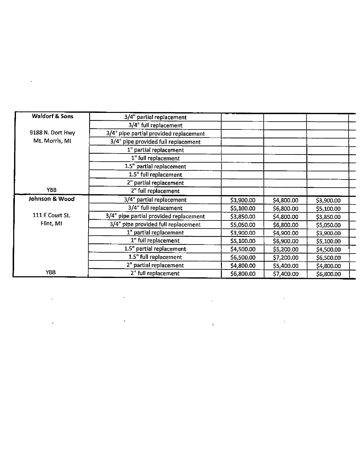| <b>Waldorf &amp; Sons</b> | 3/4" partial replacement               |            |            |            |
|---------------------------|----------------------------------------|------------|------------|------------|
|                           | 3/4" full replacement                  |            |            |            |
| 9188 N. Dort Hwy          | 3/4" pipe partial provided replacement |            |            |            |
| Mt. Morris, MI            | 3/4" pipe provided full replacement    |            |            |            |
|                           | 1" partial replacement                 |            |            |            |
|                           | 1" full replacement                    |            |            |            |
|                           | 1.5" partial replacement               |            |            |            |
|                           | 1.5" full replacement                  |            |            |            |
|                           | 2" partial replacement                 |            |            |            |
| YBB                       | 2" full replacement                    |            |            |            |
| Johnson & Wood            | 3/4" partial replacement               | \$3,900.00 | \$4,800.00 | \$3,900.00 |
|                           | 3/4" full replacement                  | \$5,100.00 | \$6,800.00 | \$5,100.00 |
| 111 E Court St.           | 3/4" pipe partial provided replacement | \$3,850.00 | \$4,800.00 | \$3,850.00 |
| Flint, MI                 | 3/4" pipe provided full replacement    | \$5,050.00 | \$6,800.00 | \$5,050.00 |
|                           | 1" partial replacement                 | \$3,900.00 | \$4,900.00 | \$3,900.00 |
|                           | 1" full replacement                    | \$5,100.00 | \$6,900.00 | \$5,100.00 |
|                           | 1.5" partial replacement               | \$4,500.00 | \$5,200.00 | \$4,500.00 |
|                           | 1.5" full replacement                  | \$6,500.00 | \$7,200.00 | \$6,500.00 |
|                           | 2" partial replacement                 | \$4,800.00 | \$5,400.00 | \$4,800.00 |
| <b>YBB</b>                | 2" full replacement                    | \$6,800.00 | \$7,400.00 | \$6,800.00 |

 $\mathcal{L}^{\mathcal{A}}$ 

 $\frac{1}{2}$ 

 $\overline{\phantom{a}}$ 

 $\ddot{\phantom{0}}$ 

 $\frac{1}{\sqrt{2}}$ 

 $\bar{\mathbf{r}}$ 

 $\hat{\boldsymbol{\cdot} }$ 

 $\hat{\mathcal{L}}$ 

 $\hat{\mathcal{A}}$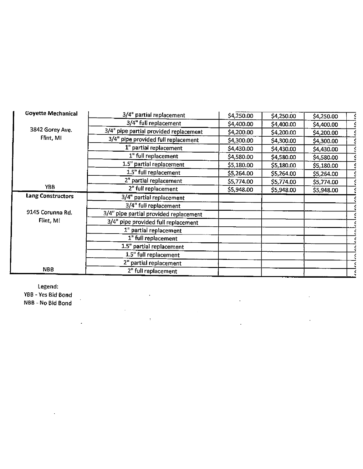| <b>Goyette Mechanical</b> | 3/4" partial replacement               | \$4,250.00 | \$4,250.00 | \$4,250.00 |  |
|---------------------------|----------------------------------------|------------|------------|------------|--|
|                           | 3/4" full replacement                  | \$4,400.00 | \$4,400.00 | \$4,400.00 |  |
| 3842 Gorey Ave.           | 3/4" pipe partial provided replacement | \$4,200.00 | \$4,200.00 | \$4,200.00 |  |
| Flint, MI                 | 3/4" pipe provided full replacement    | \$4,300.00 | \$4,300.00 | \$4,300.00 |  |
|                           | 1" partial replacement                 | \$4,430.00 | \$4,430.00 | \$4,430.00 |  |
|                           | 1" full replacement                    | \$4,580.00 | \$4,580.00 | \$4,580.00 |  |
|                           | 1.5" partial replacement               | \$5,180.00 | \$5,180.00 | \$5,180.00 |  |
|                           | 1.5" full replacement                  | \$5,264.00 | \$5,264.00 | \$5,264.00 |  |
|                           | 2" partial replacement                 | 55,774.00  | \$5,774.00 | \$5,774.00 |  |
| YBB                       | 2" full replacement                    | \$5,948.00 | \$5,948.00 | \$5,948.00 |  |
| Lang Constructors         | 3/4" partial replacement               |            |            |            |  |
|                           | 3/4" full replacement                  |            |            |            |  |
| 9145 Corunna Rd.          | 3/4" pipe partial provided replacement |            |            |            |  |
| Flint, MI                 | 3/4" pipe provided full replacement    |            |            |            |  |
|                           | 1" partial replacement                 |            |            |            |  |
|                           | 1" full replacement                    |            |            |            |  |
|                           | 1.5" partial replacement               |            |            |            |  |
|                           | 1.5" full replacement                  |            |            |            |  |
|                           | 2" partial replacement                 |            |            |            |  |
| <b>NBB</b>                | 2" full replacement                    |            |            |            |  |

l,

 $\ddot{\phantom{0}}$ 

 $\overline{a}$ 

 $\pm$ 

 $\ddot{\phantom{0}}$ 

Legend: YBB - Yes Bid Bond NBB - No Bid Bond

 $\ddot{\phantom{a}}$ 

 $\ddot{\phantom{0}}$ 

 $\overline{a}$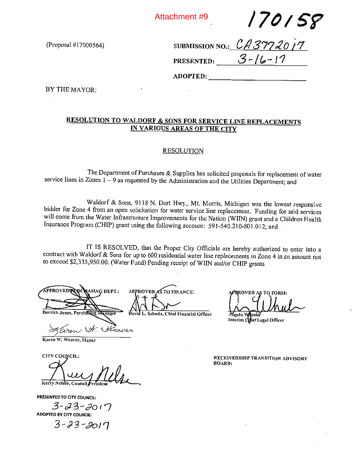Attachment #9

/7oisp

 $(Proposal #17000564)$  S

|                   | submission no.: $\mathcal{C}\mathcal{A}$ 37720 $\mathcal{C}\mathcal{A}$ |
|-------------------|-------------------------------------------------------------------------|
| <b>PRESENTED:</b> | $3 - 16 - 17$                                                           |

ADOPTED:

BYTHEMAYOR:

## RESOLUTION TO WALDORF & SONS FOR SERVICE LINE REPLACEMENTS IN VARIOUS AREAS OF TIlE CITY

#### RESOLUTION

The Department of Purchases & Supplies has solicited proposals for replacement of water service lines in Zones  $1 - 9$  as requested by the Administration and the Utilities Department; and

Waldorf & Sons, 9118 N. Dort Hwy., Mt. Morris, Michigan was the lowest responsive bidder for Zone <sup>4</sup> from an open solicitation for water service line replacement. Funding for said services will come from the Water Infrastructure Improvements for the Nation (WIIN) grant and a Children Health Insurance Program (CHIP) grant using the following account: 591-540.210-801.012; and

IT IS RESOLVED, that the Proper City Officials are hereby authorized to enter into <sup>a</sup> contract with Waldorf& Sons for up to 600 residential water line replacements in Zone 4 in an amount not to exceed \$2,335,950.00. (Water Fund) Pending receipt of WIIN and/or CHIP grants

APPROVEDQQRCQASING DEPT.: APPROVED AS TO FINANCE: APPROVED AS TO FORM: Derrick Jones, Purchasing Manager David L. Sabuda, Chief Financial Officer Angela

ief Legal Officer Interim Cli

Karen W. Weaver, Mayor

Kerry Nelson, Council Presider

ven St. Keaver

PRESENTED TO CITY COUNCIL:

 $3 - 23 - 2017$ ADOPTED BY CITY COUNCIL:

 $3 - 23 - 2017$ 

CITY COUNCIL: **RECEIVERSHIP TRANSITION ADVISORY** BOARD: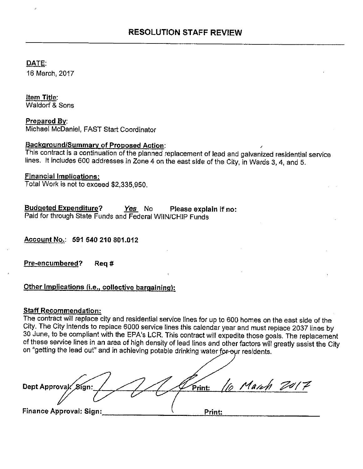DATE:

16 March, 2017

Item Title: Waldorf & Sons

Prepared By: Michael McDaniel, FAST Start Coordinator

# Background/Summanj of Proposed Action:

This contract is <sup>a</sup> continuation of the planned replacement of lead and galvanized residential service lines. It includes 600 addresses in Zone 4 on the east side of the City, in Wards 3, 4, and 5.

## Financial Implications:

Total Work is not to exceed \$2,335,950.

Budgeted Expenditure? Yes No Please explain if no: Paid for through State Funds and Federal WIIN/CHIP Funds

Account No.: 591 540 210 801.D12

Pre-encumbered? Req #

Other Implications (i.e., collective bargaining):

## Staff Recommendation;

The contract will replace city and residential service lines for up to 600 homes on the east side of the City. The City intends to replace 6000 service lines this calendar year and must replace 2037 lines by 30 June, to be compliant with the EPA's LCR. This contract will expedite those goals. The replacement of these service lines in an area of high density of lead lines and other factors will greatly assist the City on "getting the lead out" and in achieving potable drinking water for our residents.

Io March 2017 Dept Approvak Sígn:\_ Print: Finance Approval: Sign: Finance Approval: Sign: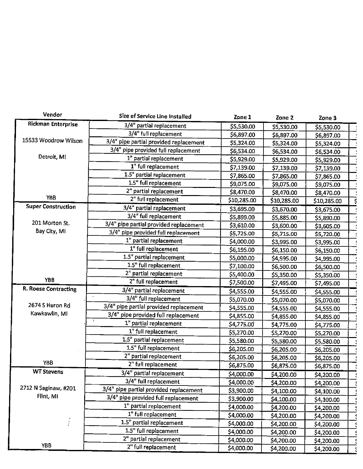| Vendor                      | Size of Service Line Installed         | Zone 1      | Zone <sub>2</sub> | Zone 3      |  |
|-----------------------------|----------------------------------------|-------------|-------------------|-------------|--|
| Rickman Enterprise          | 3/4" partial replacement               | \$5,530.00  | \$5,530.00        | \$5,530.00  |  |
|                             | 3/4" full replacement                  | \$6,897.00  | \$6,897.00        | \$6,897.00  |  |
| 15533 Woodrow Wilson        | 3/4" pipe partial provided replacement | \$5,324.00  | \$5,324.00        | \$5,324.00  |  |
|                             | 3/4" pipe provided full replacement    | \$6,534.00  | \$6,534.00        | \$6,534.00  |  |
| Detroit, Mi                 | 1" partial replacement                 | \$5,929.00  | \$5,929.00        | \$5,929.00  |  |
|                             | 1" full replacement                    | \$7,139.00  | \$7,139.00        | \$7,139.00  |  |
|                             | 1.5" partial replacement               | \$7,865.00  | \$7,865.00        | \$7,865.00  |  |
|                             | 1.5" full replacement                  | \$9,075.00  | \$9,075.00        | \$9,075.00  |  |
|                             | 2" partial replacement                 | \$8,470.00  | \$8,470.00        | \$8,470.00  |  |
| <b>YBB</b>                  | 2" full replacement                    | \$10,285.00 | \$10,285.00       | \$10,285.00 |  |
| <b>Super Construction</b>   | 3/4" partial replacement               | \$3,695.00  | \$3,670.00        | \$3,675.00  |  |
|                             | 3/4" full replacement                  | \$5,899.00  | \$5,885.00        | \$5,890.00  |  |
| 201 Morton St.              | 3/4" pipe partial provided replacement | \$3,610.00  | \$3,600.00        | \$3,605.00  |  |
| Bay City, MI                | 3/4" pipe provided full replacement    | \$5,725.00  | \$5,715.00        | \$5,720.00  |  |
|                             | 1" partial replacement                 | \$4,000.00  | \$3,995.00        | \$3,995.00  |  |
|                             | 1" full replacement                    | \$6,195.00  | \$6,150.00        | \$6,150.00  |  |
|                             | 1.5" partial replacement               | \$5,000.00  | \$4,995.00        | \$4,995.00  |  |
|                             | 1.5" full replacement                  | \$7,100.00  | \$6,500.00        | \$6,500.00  |  |
|                             | 2" partial replacement                 | \$5,400.00  | \$5,350.00        | \$5,350.00  |  |
| <b>YBB</b>                  | 2" full replacement                    | \$7,500.00  | \$7,495.00        | \$7,495.00  |  |
| <b>R. Roese Contracting</b> | 3/4" partial replacement               | \$4,555.00  | \$4,555.00        | \$4,555.00  |  |
|                             | 3/4" full replacement                  | \$5,070.00  | \$5,070.00        | \$5,070.00  |  |
| 2674 S Huron Rd             | 3/4" pipe partial provided replacement | \$4,555.00  | \$4,555.00        | \$4,555.00  |  |
| Kawkawlin, MI               | 3/4" pipe provided full replacement    | \$4,855.00  | \$4,855.00        | \$4,855.00  |  |
|                             | τ<br>1" partial replacement            | \$4,775.00  | \$4,775.00        | \$4,775.00  |  |
|                             | 1" full replacement                    | \$5,270.00  | \$5,270.00        | \$5,270.00  |  |
|                             | 1.5" partial replacement               | \$5,580.00  | \$5,580.00        | \$5,580.00  |  |
|                             | 1.5" full replacement                  | \$6,205.00  | \$6,205.00        | \$6,205.00  |  |
|                             | 2" partial replacement                 | \$6,205.00  | \$6,205.00        | \$6,205.00  |  |
| YBB                         | 2" full replacement                    | \$6,875.00  | \$6,875.00        | \$6,875.00  |  |
| <b>WT Stevens</b>           | 3/4" partial replacement               | \$4,000.00  | \$4,200.00        | \$4,200.00  |  |
|                             | 3/4" full replacement                  | \$4,000.00  | \$4,200.00        | \$4,200.00  |  |
| 2712 N Saginaw, #201        | 3/4" pipe partial provided replacement | \$3,900.00  | \$4,100.00        | \$4,100.00  |  |
| Flint, MI                   | 3/4" pipe provided full replacement    | \$3,900.00  | \$4,100.00        | \$4,100.00  |  |
|                             | 1" partial replacement                 | \$4,000.00  | \$4,200.00        | \$4,200.00  |  |
|                             | 1" full replacement                    | \$4,000.00  | \$4,200.00        | \$4,200.00  |  |
| Ť                           | 1.5" partial replacement               | \$4,000.00  | \$4,200.00        | \$4,200.00  |  |
|                             | 1.5" full replacement                  | \$4,000.00  | \$4,200.00        | \$4,200.00  |  |
|                             | 2" partial replacement                 | \$4,000.00  | \$4,200.00        | \$4,200.00  |  |
| YBB                         | 2" full replacement                    | \$4,000.00  | \$4,200.00        | \$4,200.00  |  |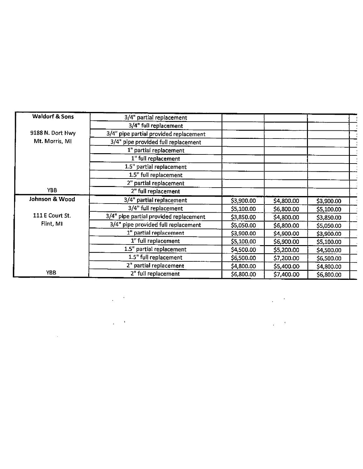| <b>Waldorf &amp; Sons</b> | 3/4" partial replacement               |            |            |            |  |
|---------------------------|----------------------------------------|------------|------------|------------|--|
|                           | 3/4" full replacement                  |            |            |            |  |
| 9188 N. Dort Hwy          | 3/4" pipe partial provided replacement |            |            |            |  |
| Mt. Morris, MI            | 3/4" pipe provided full replacement    |            |            |            |  |
|                           | 1" partial replacement                 |            |            |            |  |
|                           | 1" full replacement                    |            |            |            |  |
|                           | 1.5" partial replacement               |            |            |            |  |
|                           | 1.5" full replacement                  |            |            |            |  |
|                           | 2" partial replacement                 |            |            |            |  |
| YBB.                      | 2" full replacement                    |            |            |            |  |
| Johnson & Wood            | 3/4" partial replacement               | \$3,900.00 | \$4,800.00 | \$3,900.00 |  |
|                           | 3/4" full replacement                  | \$5,100.00 | \$6,800.00 | \$5,100.00 |  |
| 111 E Court St.           | 3/4" pipe partial provided replacement | \$3,850.00 | \$4,800.00 | \$3,850.00 |  |
| Flint, MI                 | 3/4" pipe provided full replacement    | \$5,050.00 | \$6,800.00 | \$5,050.00 |  |
|                           | 1" partial replacement                 | \$3,900.00 | \$4,900.00 | \$3,900.00 |  |
|                           | 1" full replacement                    | \$5,100.00 | \$6,900.00 | \$5,100.00 |  |
|                           | 1.5" partial replacement               | \$4,500.00 | \$5,200.00 | \$4,500.00 |  |
|                           | 1.5" full replacement                  | \$6,500.00 | \$7,200.00 | \$6,500.00 |  |
|                           | 2" partial replacement                 | \$4,800.00 | \$5,400.00 | \$4,800.00 |  |
| <b>YBB</b>                | 2" full replacement                    | \$6,800.00 | \$7,400.00 | \$6,800.00 |  |

 $\label{eq:2.1} \frac{1}{\sqrt{2}}\left(\frac{1}{\sqrt{2}}\right)^2\left(\frac{1}{\sqrt{2}}\right)^2\left(\frac{1}{\sqrt{2}}\right)^2\left(\frac{1}{\sqrt{2}}\right)^2\left(\frac{1}{\sqrt{2}}\right)^2\left(\frac{1}{\sqrt{2}}\right)^2.$ 

 $\label{eq:2.1} \frac{1}{\sqrt{2}}\int_{\mathbb{R}^3} \frac{1}{\sqrt{2}}\left(\frac{1}{\sqrt{2}}\right)^2\left(\frac{1}{\sqrt{2}}\right)^2\left(\frac{1}{\sqrt{2}}\right)^2\left(\frac{1}{\sqrt{2}}\right)^2.$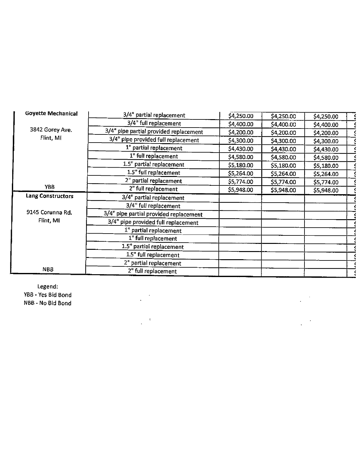| <b>Goyette Mechanical</b> | 3/4" partial replacement               | \$4,250.00 | \$4,250.00 | \$4,250.00 |  |
|---------------------------|----------------------------------------|------------|------------|------------|--|
|                           | 3/4" full replacement                  | \$4,400.00 | \$4,400.00 | \$4,400.00 |  |
| 3842 Gorey Ave.           | 3/4" pipe partial provided replacement | \$4,200.00 | \$4,200.00 | \$4,200.00 |  |
| Flint, MI                 | 3/4" pipe provided full replacement    | \$4,300.00 | \$4,300.00 | \$4,300.00 |  |
|                           | 1" partial replacement                 | \$4,430.00 | \$4,430.00 | \$4,430.00 |  |
|                           | 1" full replacement                    | \$4,580.00 | \$4,580.00 | \$4,580.00 |  |
|                           | 1.5" partial replacement               | \$5,180.00 | \$5,180.00 | \$5,180.00 |  |
|                           | 1.5" full replacement                  | \$5,264.00 | \$5,264.00 | \$5,264.00 |  |
|                           | 2" partial replacement                 | \$5,774.00 | \$5,774.00 | \$5,774.00 |  |
| YBB.                      | 2" full replacement                    | \$5,948.00 | \$5,948.00 | \$5,948.00 |  |
| Lang Constructors         | 3/4" partial replacement               |            |            |            |  |
|                           | 3/4" full replacement                  |            |            |            |  |
| 9145 Corunna Rd.          | 3/4" pipe partial provided replacement |            |            |            |  |
| Flint, MI                 | 3/4" pipe provided full replacement    |            |            |            |  |
|                           | 1" partial replacement                 |            |            |            |  |
|                           | 1" full replacement                    |            |            |            |  |
|                           | 1.5" partial replacement               |            |            |            |  |
|                           | 1.5" full replacement                  |            |            |            |  |
|                           | 2" partial replacement                 |            |            |            |  |
| <b>NBB</b>                | 2" full replacement                    |            |            |            |  |

 $\mathcal{A}$ 

Legend: YBB - Yes Bid Bond NBB - No Bid Bond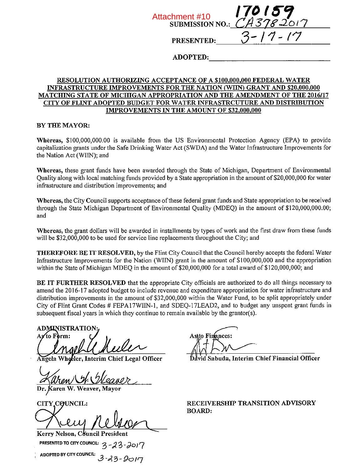| Attachment #10 | vchment #10 $170159$<br>SUBMISSION NO.: $\angle A3782017$ |
|----------------|-----------------------------------------------------------|
|                | $3 - 17 - 17$                                             |

## ADOPTED:\_\_\_\_\_\_\_\_\_\_\_\_\_\_\_\_\_\_\_

#### RESOLUTION AUTHORIZING ACCEPTANCE OF A \$100,000,000 FEDERAL WATER INFRASTRUCTURE IMPROVEMENTS FOR THE NATION (WIIN) GRANT AND \$20,000,000 MATCHING STATE OF MICHIGAN APPROPRIATION AND THE AMENDMENT OF THE 2016/17 CITY OF FLINT ADOPTED BUDGET FOR WATER INFRASTRCUTURE AND DISTRIBUTION IMPROVEMENTS IN THE AMOUNT OF \$32,000,000

#### BY THE MAYOR:

Whereas, \$100,000,000.00 is available from the US Environmental Protection Agency (EPA) to provide capitalization grants under the Safe Drinking Water Act (SWDA) and the Water Infrastructure Improvements for the Nation Act (WIIN); and

Whereas, these grant funds have been awarded through the State of Michigan, Department of Environmental Quality along with local matching funds provided by <sup>a</sup> State appropriation in the amount of \$20,000,000 for water infrastructure and distribution improvements; and

Whereas, the City Council supports acceptance of these federal grant funds and State appropriation to be received through the State Michigan Department of Environmental Quality (MDEQ) in the amount of \$120,000,000.00; and

Whereas, the grant dollars will be awarded in installments by types of work and the first draw from these funds will be \$32,000,000 to be used for service line replacements throughout the City; and

THEREFORE BE IT RESOLVED, by the Flint City Council that the Council hereby accepts the federal Water Infrastructure Improvements for the Nation (WIIN) grant in the amount of \$100,000,000 and the appropriation within the State of Michigan MDEQ in the amount of \$20,000,000 for <sup>a</sup> total award of \$120,000,000; and

BE IT FURTHER RESOLVED that the appropriate City officials are authorized to do all things necessary to amend the 20 16-17 adopted budget to include revenue and expenditure appropriation for water infrastructure and distribution improvements in the amount of \$32,000,000 within the Water Fund, to be split appropriately under City of Flint Grant Codes # FEPA17WIIN-1, and SDEQ-17LEAD2, and to budget any unspent grant funds in subsequent fiscal years in which they continue to remain available by the grantor(s).

**ADMINISTRATION** to F**∂**rm:

Wheeler, Interim Chief Legal Officer

Dr. Karen W. Weaver, Mavor

Kerry Nelson, Council President PRESENTED TO CITY COUNCIL:  $3 - 23 - 307$ ADOPTED BY CITY COUNCIL:  $3 - 23 - 2017$ 

As\to Finances:

vid Sabuda, Interim Chief Financial Officer

CITY COUNCIL: RECEIVERSHIP TRANSITION ADVISORY BOARD: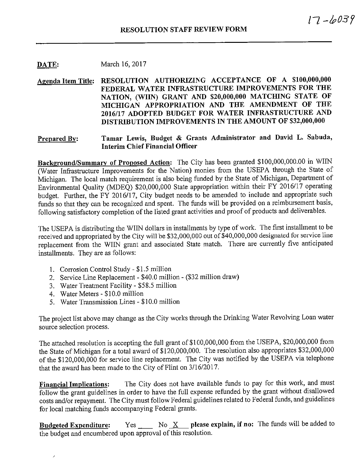## **DATE:** March 16, 2017

# Agenda Item Title: RESOLUTION AUTHORIZING ACCEPTANCE OF <sup>A</sup> \$100,000,000 FEDERAL WATER INFRASTRUCTURE IMPROVEMENTS FOR THE NATION, (WIIN) GRANT AND \$20,000,000 MATCHING STATE OF MICHIGAN APPROPRIATION AND THE AMENDMENT OF THE 2016/17 ADOPTED BUDGET FOR WATER INFRASTRUCTURE AND DISTRIBUTION IMPROVEMENTS IN THE AMOUNT OF \$32,000,000

Prepared By: Tamar Lewis, Budget & Grants Administrator and David L. Sabuda, Interim Chief Financial Officer

Background/Summary of Proposed Action: The City has been granted \$100,000,000.00 in WIN (Water Infrastructure Improvements for the Nation) monies from the USEPA through the State of Michigan. The local match requirement is also being funded by the State of Michigan, Department of Environmental Quality (MDEQ) \$20,000,000 State appropriation within their FY 2016/17 operating budget. Further, the FY 2016/17, City budget needs to be amended to include and appropriate such funds so that they can be recognized and spent. The funds will be provided on <sup>a</sup> reimbursement basis, following satisfactory completion of the listed grant activities and proof of products and deliverables.

The USEPA is distributing the WIN dollars in installments by type of work. The first installment to be received and appropriated by the City will be \$32,000,000 out of \$40,000,000 designated for service line replacement from the WIN grant and associated State match. There are currently five anticipated installments. They are as follows:

- 1. Corrosion Control Study \$1.5 million
- 2. Service Line Replacement \$40.0 million (\$32 million draw)
- 3. Water Treatment Facility \$58.5 million
- 4. Water Meters \$10.0 million

 $\lambda$ 

5. Water Transmission Lines - \$10.0 million

The project list above may change as the City works through the Drinking Water Revolving Loan water source selection process.

The attached resolution is accepting the full grant of \$100,000,000 from the USEPA, \$20,000,000 from the State of Michigan for <sup>a</sup> total award of \$120,000,000. The resolution also appropriates \$32,000,000 of the \$120,000,000 for service line replacement. The City was notified by the USEPA via telephone that the award has been made to the City of Flint on 3/16/2017.

Financial Implications: The City does not have available funds to pay for this work, and must follow the grant guidelines in order to have the full expense refunded by the grant without disallowed costs and/or repayment. The City must follow Federal guidelines related to Federal funds, and guidelines for local matching funds accompanying Federal grants.

**Budgeted Expenditure:** Yes  $\frac{X}{Y}$  No  $\frac{X}{Y}$  please explain, if no: The funds will be added to the budget and encumbered upon approval of this resolution.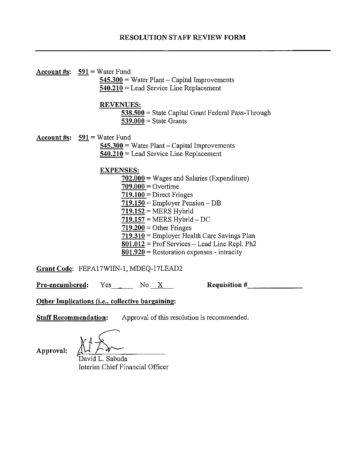Account  $\#s$ : 591 = Water Fund  $545.300$  = Water Plant – Capital Improvements 540.210 = Lead Service Line Replacement REVENUES: 538.500 = State Capital Grant Federal Pass-Through  $539.000 =$  State Grants **Account #s:**  $591 = \text{Water Fund}$  $545.300$  = Water Plant – Capital Improvements  $540.210$  = Lead Service Line Replacement EXPENSES:  $702.000$  = Wages and Salaries (Expenditure)  $709.000 =$  Overtime  $719.100$  = Direct Fringes 719.150 <sup>=</sup> Employer Pension — DB  $719.152$  = MERS Hybrid 719.157 <sup>=</sup> MERS Hybrid — DC  $719.200 =$  Other Fringes 719.310 = Employer Health Care Savings Plan  $801.012$  = Prof Services – Lead Line Repl. Ph2  $801.920$  = Restoration expenses - intracity Grant Code: FEPA17WIIN-1, MDEQ-17LEAD2

 $Pre-encumbered: Yes \t\t No \t\t X$  Requisition #

Other Implications (i.e., collective bargaining:

Staff Recommendation: Approval of this resolution is recommended.

 $\sum_{\mu}$ 

Approval:

David L. Sabuda Interim Chief Financial Officer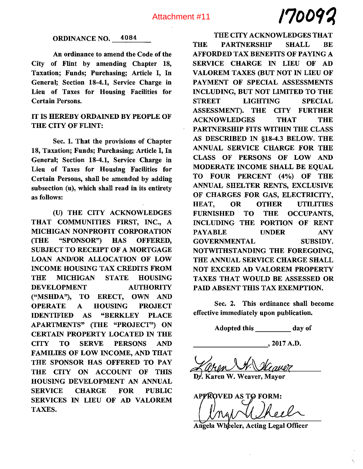# /700fl

#### ORDINANCE NO. 4084

An ordinance to amend the Code of the City of Flint by amending Chapter 18, Taxation; Funds; Purchasing; Article I, In General; Section 18-4.1, Service Charge in Lieu of Taxes for Housing Facilities for Certain Persons.

## IT IS HEREBY ORDAINED BY PEOPLE OF THE CITY OF FLINT:

Sec. 1. That the provisions of Chapter 18, Taxation; Funds; Purchasing; Article I, In General; Section 18-4.1, Service Charge in Lieu of Taxes for Housing Facilities for Certain Persons, shall be amended by adding subsection (u), which shall read in its entirety as follows:

(U) THE CITY ACKNOWLEDGES THAT COMMUNITIES FIRST, INC., A MICHIGAN NONPROFIT CORPORATION (THE "SPONSOR") HAS OFFERED, SUBJECT TO RECEIPT OF A MORTGAGE LOAN AND/OR ALLOCATION OF LOW INCOME HOUSING TAX CREDITS FROM THE MICHIGAN STATE HOUSING DEVELOPMENT AUTHORITY ("MSHDA"), TO ERECT, OWN AND OPERATE A HOUSING PROJECT IDENTIFIED AS "BERKLEY PLACE APARTMENTS" (THE "PROJECT") ON CERTAIN PROPERTY LOCATED IN THE CITY TO SERVE PERSONS AND FAMILIES OF LOW INCOME, AND THAT THE SPONSOR HAS OFFERED TO PAY THE CITY ON ACCOUNT OF THIS HOUSING DEVELOPMENT AN ANNUAL SERVICE CHARGE FOR PUBLIC SERVICES IN LIEU OF AD VALOREM TAXES.

THE CITY ACKNOWLEDGES THAT THE PARTNERSHIP SHALL BE AFFORDED TAX BENEFITS OF PAYING A SERVICE CHARGE IN LIEU OF AD VALOREM TAXES (BUT NOT IN LIEU OF PAYMENT OF SPECIAL ASSESSMENTS INCLUDING, BUT NOT LIMITED TO THE STREET LIGHTING SPECIAL ASSESSMENT). THE CITY FURTHER ACKNOWLEDGES THAT THE PARTNERSHIP FITS WITHIN THE CLASS AS DESCRIBED IN §18-4.3 BELOW. THE ANNUAL SERVICE CHARGE FOR THE CLASS OF PERSONS OF LOW AND MODERATE INCOME SHALL BE EQUAL TO FOUR PERCENT (4%) OF THE ANNUAL SHELTER RENTS, EXCLUSIVE OF CHARGES FOR GAS, ELECTRICITY, HEAT, OR OTHER UTILITIES FURNISHED TO THE OCCUPANTS, INCLUDING THE PORTION OF RENT PAYABLE UNDER ANY GOVERNMENTAL SUBSIDY. NOTWITHSTANDING THE FOREGOING, THE ANNUAL SERVICE CHARGE SHALL NOT EXCEED AD VALOREM PROPERTY TAXES THAT WOULD BE ASSESSED OR PAID ABSENT THIS TAX EXEMPTION.

Sec. 2. This ordinance shall become effective immediately upon publication.

Adopted this \_\_\_\_\_\_\_\_\_\_ day of

2017A.D.

D . Karen W. Weaver, Mayor

**APPROVED AS TO FORM:** 

Angela Wheeler, Acting Legal Officer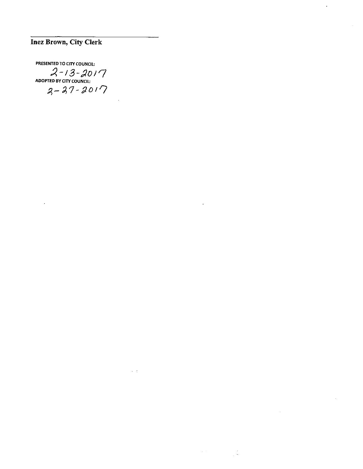# Inez Brown, City Clerk

 $\overline{a}$ 

PRESENTED To CITY COUNCIL: ADOPTED BY Cliv COUNCIL:  $2 - 37 - 2017$ 

 $\sim$   $\pm$ 

 $\hat{\zeta}$